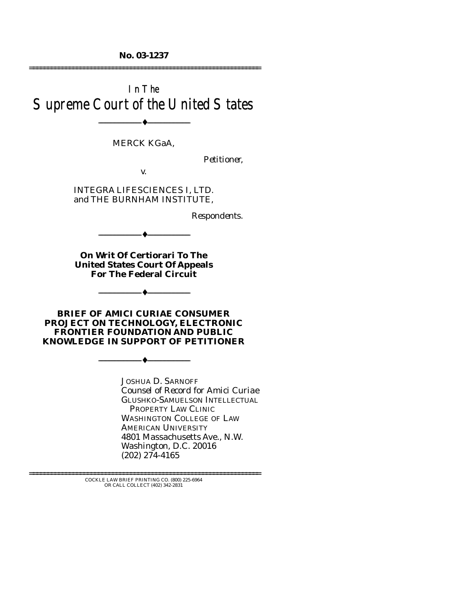**No. 03-1237**  ================================================================

# In The Supreme Court of the United States

--------------------------------- ♦ ---------------------------------

#### MERCK KGaA,

*Petitioner,* 

v.

INTEGRA LIFESCIENCES I, LTD. and THE BURNHAM INSTITUTE,

*Respondents.* 

**On Writ Of Certiorari To The United States Court Of Appeals For The Federal Circuit** 

 $-$  4  $-$ 

--------------------------------- ♦ ---------------------------------

**BRIEF OF** *AMICI CURIAE* **CONSUMER PROJECT ON TECHNOLOGY, ELECTRONIC FRONTIER FOUNDATION AND PUBLIC KNOWLEDGE IN SUPPORT OF PETITIONER** 

--------------------------------- ♦ ---------------------------------

JOSHUA D. SARNOFF *Counsel of Record for Amici Curiae*  GLUSHKO-SAMUELSON INTELLECTUAL PROPERTY LAW CLINIC WASHINGTON COLLEGE OF LAW AMERICAN UNIVERSITY 4801 Massachusetts Ave., N.W. Washington, D.C. 20016 (202) 274-4165

================================================================ COCKLE LAW BRIEF PRINTING CO. (800) 225-6964 OR CALL COLLECT (402) 342-2831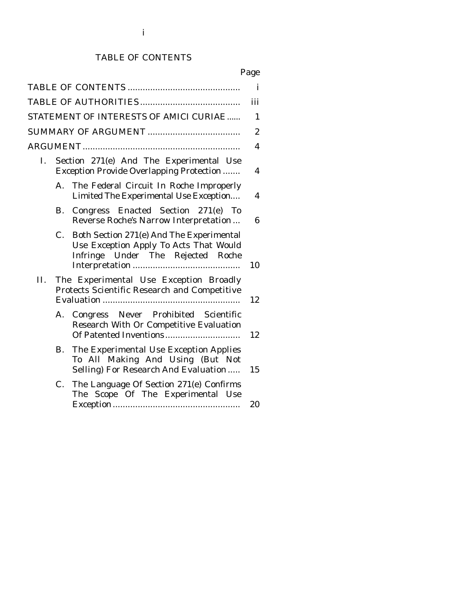## TABLE OF CONTENTS

# Page

|     |    |                                                                                                                         | $\mathbf{i}$     |
|-----|----|-------------------------------------------------------------------------------------------------------------------------|------------------|
|     |    |                                                                                                                         | iii              |
|     |    | STATEMENT OF INTERESTS OF AMICI CURIAE                                                                                  | 1                |
|     |    |                                                                                                                         | $\boldsymbol{2}$ |
|     |    |                                                                                                                         | 4                |
| Ι.  |    | Section 271(e) And The Experimental Use<br><b>Exception Provide Overlapping Protection </b>                             | 4                |
|     | A. | The Federal Circuit In Roche Improperly<br>Limited The Experimental Use Exception                                       | 4                |
|     | В. | Congress Enacted Section 271(e) To<br>Reverse Roche's Narrow Interpretation                                             | 6                |
|     | C. | Both Section 271(e) And The Experimental<br>Use Exception Apply To Acts That Would<br>Infringe Under The Rejected Roche | 10               |
| II. |    | The Experimental Use Exception Broadly<br>Protects Scientific Research and Competitive                                  | 12               |
|     | А. | Congress Never Prohibited Scientific<br>Research With Or Competitive Evaluation                                         | 12               |
|     | В. | The Experimental Use Exception Applies<br>To All Making And Using (But Not<br>Selling) For Research And Evaluation      | 15               |
|     | C. | The Language Of Section 271(e) Confirms<br>The Scope Of The Experimental Use                                            | 20               |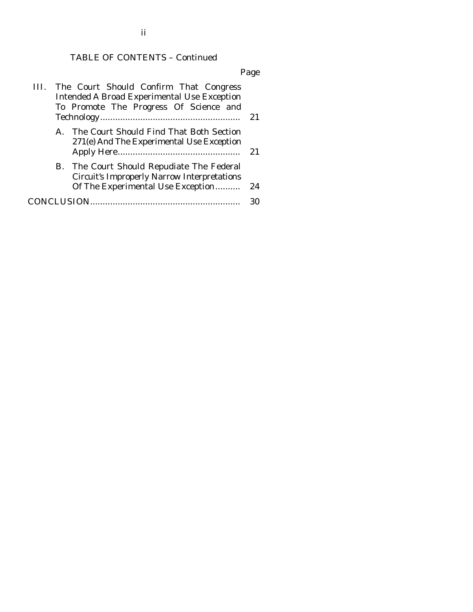## TABLE OF CONTENTS – Continued

Page

|              | III. The Court Should Confirm That Congress<br><b>Intended A Broad Experimental Use Exception</b><br>To Promote The Progress Of Science and | 21 |
|--------------|---------------------------------------------------------------------------------------------------------------------------------------------|----|
| $\mathbf{A}$ | The Court Should Find That Both Section<br>271(e) And The Experimental Use Exception                                                        | 21 |
|              | B. The Court Should Repudiate The Federal<br><b>Circuit's Improperly Narrow Interpretations</b><br>Of The Experimental Use Exception        | 24 |
|              |                                                                                                                                             | 30 |

ii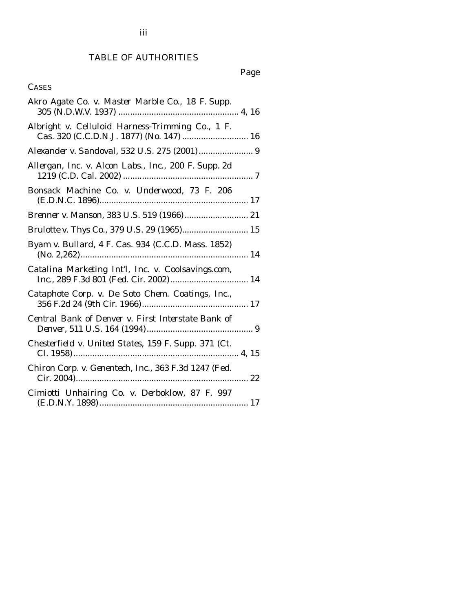## TABLE OF AUTHORITIES

# Page

### **CASES**

| Akro Agate Co. v. Master Marble Co., 18 F. Supp.                                             |
|----------------------------------------------------------------------------------------------|
| Albright v. Celluloid Harness-Trimming Co., 1 F.<br>Cas. 320 (C.C.D.N.J. 1877) (No. 147)  16 |
| Alexander v. Sandoval, 532 U.S. 275 (2001) 9                                                 |
| Allergan, Inc. v. Alcon Labs., Inc., 200 F. Supp. 2d                                         |
| Bonsack Machine Co. v. Underwood, 73 F. 206                                                  |
|                                                                                              |
|                                                                                              |
| Byam v. Bullard, 4 F. Cas. 934 (C.C.D. Mass. 1852)                                           |
| Catalina Marketing Int'l, Inc. v. Coolsavings.com,                                           |
| Cataphote Corp. v. De Soto Chem. Coatings, Inc.,                                             |
| Central Bank of Denver v. First Interstate Bank of                                           |
| Chesterfield v. United States, 159 F. Supp. 371 (Ct.                                         |
| Chiron Corp. v. Genentech, Inc., 363 F.3d 1247 (Fed.                                         |
| Cimiotti Unhairing Co. v. Derboklow, 87 F. 997                                               |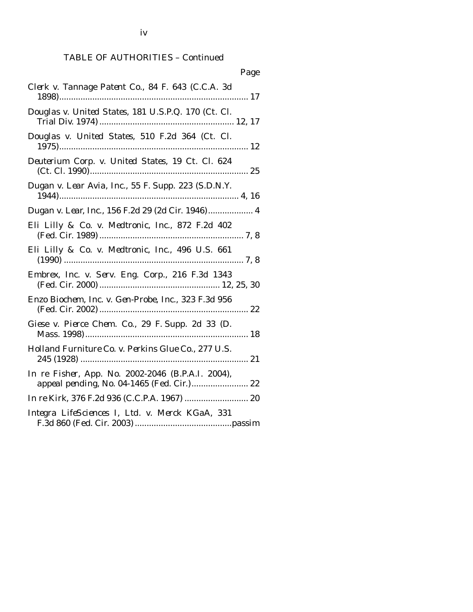iv

# TABLE OF AUTHORITIES – Continued

| Page                                                                                            |
|-------------------------------------------------------------------------------------------------|
| Clerk v. Tannage Patent Co., 84 F. 643 (C.C.A. 3d                                               |
| Douglas v. United States, 181 U.S.P.Q. 170 (Ct. Cl.                                             |
| Douglas v. United States, 510 F.2d 364 (Ct. Cl.                                                 |
| Deuterium Corp. v. United States, 19 Ct. Cl. 624                                                |
| Dugan v. Lear Avia, Inc., 55 F. Supp. 223 (S.D.N.Y.                                             |
| Dugan v. Lear, Inc., 156 F.2d 29 (2d Cir. 1946) 4                                               |
| Eli Lilly & Co. v. Medtronic, Inc., 872 F.2d 402                                                |
| Eli Lilly & Co. v. Medtronic, Inc., 496 U.S. 661                                                |
| Embrex, Inc. v. Serv. Eng. Corp., 216 F.3d 1343                                                 |
| Enzo Biochem, Inc. v. Gen-Probe, Inc., 323 F.3d 956                                             |
| Giese v. Pierce Chem. Co., 29 F. Supp. 2d 33 (D.                                                |
| Holland Furniture Co. v. Perkins Glue Co., 277 U.S.                                             |
| In re Fisher, App. No. 2002-2046 (B.P.A.I. 2004),<br>appeal pending, No. 04-1465 (Fed. Cir.) 22 |
|                                                                                                 |
| Integra LifeSciences I, Ltd. v. Merck KGaA, 331                                                 |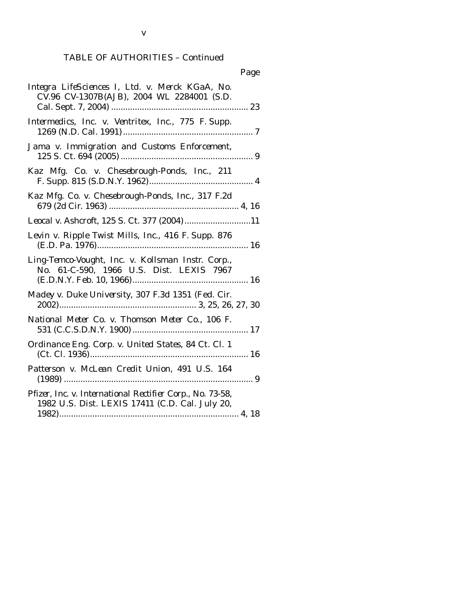v

| Integra LifeSciences I, Ltd. v. Merck KGaA, No.<br>CV.96 CV-1307B(AJB), 2004 WL 2284001 (S.D.                |
|--------------------------------------------------------------------------------------------------------------|
| Intermedics, Inc. v. Ventritex, Inc., 775 F. Supp.                                                           |
| Jama v. Immigration and Customs Enforcement,                                                                 |
| Kaz Mfg. Co. v. Chesebrough-Ponds, Inc., 211                                                                 |
| Kaz Mfg. Co. v. Chesebrough-Ponds, Inc., 317 F.2d                                                            |
| Leocal v. Ashcroft, 125 S. Ct. 377 (2004)11                                                                  |
| Levin v. Ripple Twist Mills, Inc., 416 F. Supp. 876                                                          |
| Ling-Temco-Vought, Inc. v. Kollsman Instr. Corp.,<br>No. 61-C-590, 1966 U.S. Dist. LEXIS 7967                |
| Madey v. Duke University, 307 F.3d 1351 (Fed. Cir.                                                           |
| National Meter Co. v. Thomson Meter Co., 106 F.                                                              |
| Ordinance Eng. Corp. v. United States, 84 Ct. Cl. 1                                                          |
| Patterson v. McLean Credit Union, 491 U.S. 164                                                               |
| Pfizer, Inc. v. International Rectifier Corp., No. 73-58,<br>1982 U.S. Dist. LEXIS 17411 (C.D. Cal. July 20, |
|                                                                                                              |

### Page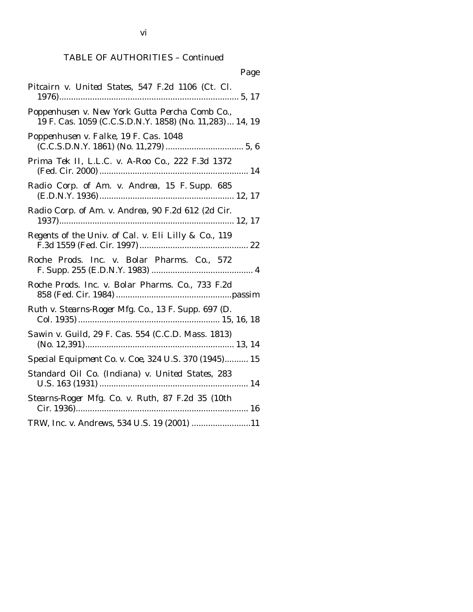| Page                                                                                                       |
|------------------------------------------------------------------------------------------------------------|
| Pitcairn v. United States, 547 F.2d 1106 (Ct. Cl.                                                          |
| Poppenhusen v. New York Gutta Percha Comb Co.,<br>19 F. Cas. 1059 (C.C.S.D.N.Y. 1858) (No. 11,283)  14, 19 |
| Poppenhusen v. Falke, 19 F. Cas. 1048                                                                      |
| Prima Tek II, L.L.C. v. A-Roo Co., 222 F.3d 1372                                                           |
| Radio Corp. of Am. v. Andrea, 15 F. Supp. 685                                                              |
| Radio Corp. of Am. v. Andrea, 90 F.2d 612 (2d Cir.                                                         |
| Regents of the Univ. of Cal. v. Eli Lilly & Co., 119                                                       |
| Roche Prods. Inc. v. Bolar Pharms. Co., 572                                                                |
| Roche Prods. Inc. v. Bolar Pharms. Co., 733 F.2d                                                           |
| Ruth v. Stearns-Roger Mfg. Co., 13 F. Supp. 697 (D.                                                        |
| Sawin v. Guild, 29 F. Cas. 554 (C.C.D. Mass. 1813)                                                         |
| Special Equipment Co. v. Coe, 324 U.S. 370 (1945) 15                                                       |
| Standard Oil Co. (Indiana) v. United States, 283                                                           |
| Stearns-Roger Mfg. Co. v. Ruth, 87 F.2d 35 (10th                                                           |
| TRW, Inc. v. Andrews, 534 U.S. 19 (2001) 11                                                                |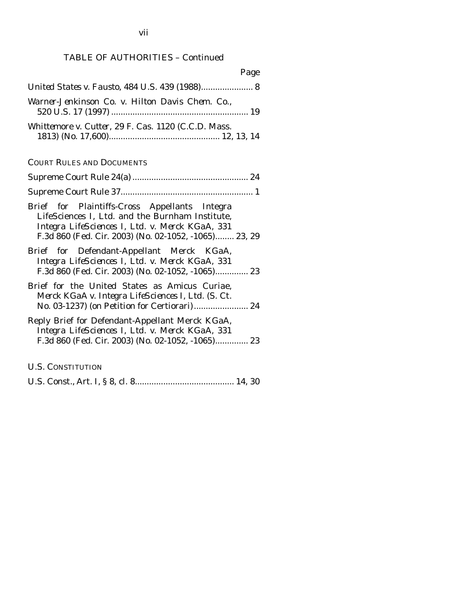| Page                                                                                                                                                                                                         |
|--------------------------------------------------------------------------------------------------------------------------------------------------------------------------------------------------------------|
| United States v. Fausto, 484 U.S. 439 (1988) 8                                                                                                                                                               |
| Warner-Jenkinson Co. v. Hilton Davis Chem. Co.,                                                                                                                                                              |
| Whittemore v. Cutter, 29 F. Cas. 1120 (C.C.D. Mass.                                                                                                                                                          |
| <b>COURT RULES AND DOCUMENTS</b>                                                                                                                                                                             |
|                                                                                                                                                                                                              |
|                                                                                                                                                                                                              |
| Brief for Plaintiffs-Cross Appellants Integra<br>LifeSciences I, Ltd. and the Burnham Institute,<br>Integra LifeSciences I, Ltd. v. Merck KGaA, 331<br>F.3d 860 (Fed. Cir. 2003) (No. 02-1052, -1065) 23, 29 |
| Brief for Defendant-Appellant Merck KGaA,<br>Integra LifeSciences I, Ltd. v. Merck KGaA, 331<br>F.3d 860 (Fed. Cir. 2003) (No. 02-1052, -1065) 23                                                            |
| Brief for the United States as Amicus Curiae,<br>Merck KGaA v. Integra LifeSciences I, Ltd. (S. Ct.<br>No. 03-1237) (on Petition for Certiorari) 24                                                          |
| Reply Brief for Defendant-Appellant Merck KGaA,<br>Integra LifeSciences I, Ltd. v. Merck KGaA, 331<br>F.3d 860 (Fed. Cir. 2003) (No. 02-1052, -1065) 23                                                      |
| <b>U.S. CONSTITUTION</b>                                                                                                                                                                                     |
|                                                                                                                                                                                                              |

U.S. Const., Art. I, § 8, cl. 8.......................................... 14, 30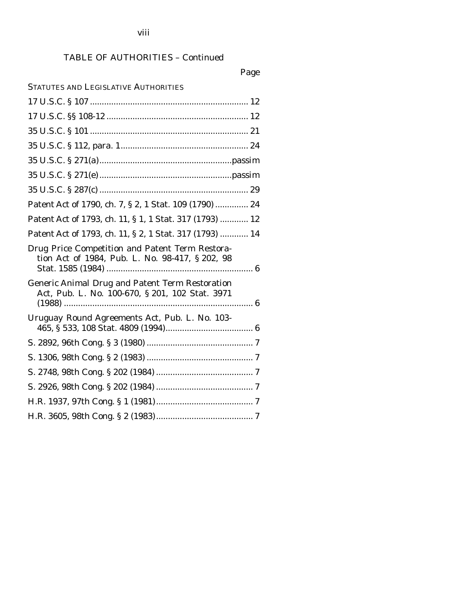# Page

| <b>STATUTES AND LEGISLATIVE AUTHORITIES</b>                                                               |
|-----------------------------------------------------------------------------------------------------------|
|                                                                                                           |
|                                                                                                           |
|                                                                                                           |
|                                                                                                           |
|                                                                                                           |
|                                                                                                           |
|                                                                                                           |
| Patent Act of 1790, ch. 7, § 2, 1 Stat. 109 (1790)  24                                                    |
| Patent Act of 1793, ch. 11, § 1, 1 Stat. 317 (1793)  12                                                   |
| Patent Act of 1793, ch. 11, § 2, 1 Stat. 317 (1793)  14                                                   |
| Drug Price Competition and Patent Term Restora-<br>tion Act of 1984, Pub. L. No. 98-417, § 202, 98        |
| <b>Generic Animal Drug and Patent Term Restoration</b><br>Act, Pub. L. No. 100-670, § 201, 102 Stat. 3971 |
| Uruguay Round Agreements Act, Pub. L. No. 103-                                                            |
|                                                                                                           |
|                                                                                                           |
|                                                                                                           |
|                                                                                                           |
|                                                                                                           |
|                                                                                                           |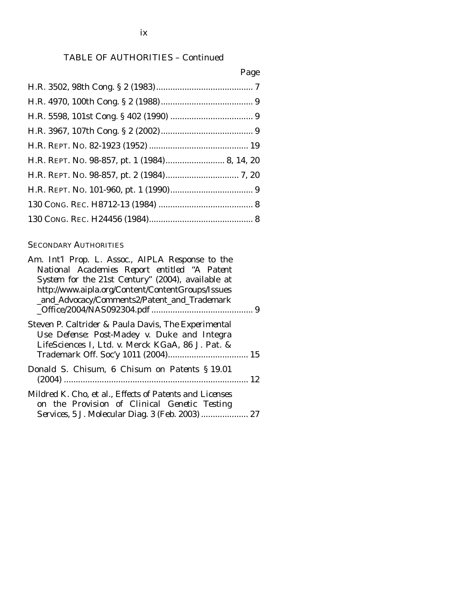### Page

#### SECONDARY AUTHORITIES

*on the Provision of Clinical Genetic Testing Services*, 5 J. Molecular Diag. 3 (Feb. 2003) .................... 27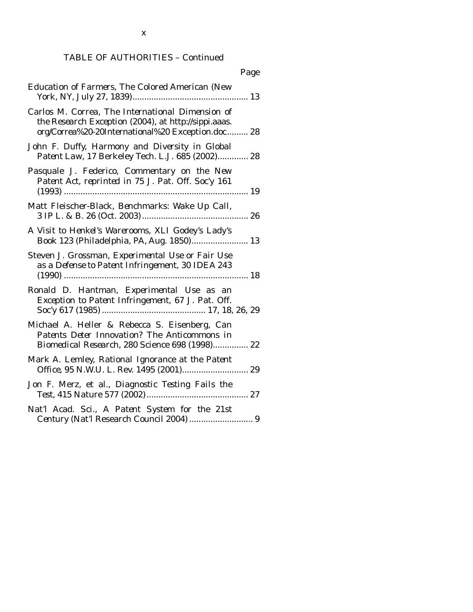| Page                                                                                                                                                          |
|---------------------------------------------------------------------------------------------------------------------------------------------------------------|
| <b>Education of Farmers, The Colored American (New</b>                                                                                                        |
| Carlos M. Correa, The International Dimension of<br>the Research Exception (2004), at http://sippi.aaas.<br>org/Correa%20-20International%20 Exception.doc 28 |
| John F. Duffy, Harmony and Diversity in Global<br>Patent Law, 17 Berkeley Tech. L.J. 685 (2002) 28                                                            |
| Pasquale J. Federico, Commentary on the New<br>Patent Act, reprinted in 75 J. Pat. Off. Soc'y 161                                                             |
| Matt Fleischer-Black, Benchmarks: Wake Up Call,                                                                                                               |
| A Visit to Henkel's Warerooms, XLI Godey's Lady's<br>Book 123 (Philadelphia, PA, Aug. 1850) 13                                                                |
| Steven J. Grossman, Experimental Use or Fair Use<br>as a Defense to Patent Infringement, 30 IDEA 243                                                          |
| Ronald D. Hantman, Experimental Use as an<br>Exception to Patent Infringement, 67 J. Pat. Off.                                                                |
| Michael A. Heller & Rebecca S. Eisenberg, Can<br>Patents Deter Innovation? The Anticommons in<br>Biomedical Research, 280 Science 698 (1998) 22               |
| Mark A. Lemley, Rational Ignorance at the Patent<br>Office, 95 N.W.U. L. Rev. 1495 (2001) 29                                                                  |
| Jon F. Merz, et al., Diagnostic Testing Fails the<br>27                                                                                                       |
| Nat'l Acad. Sci., A Patent System for the 21st<br>Century (Nat'l Research Council 2004)  9                                                                    |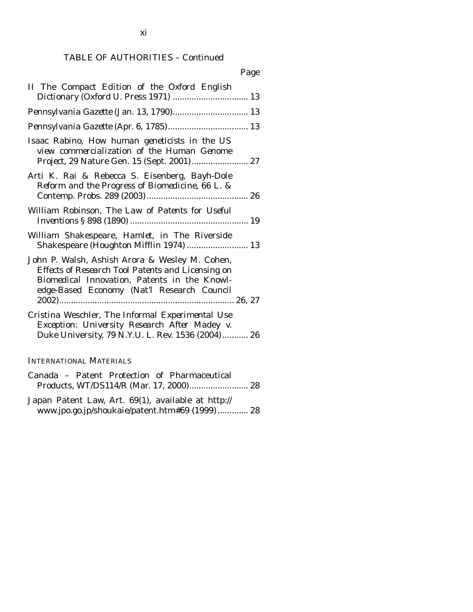|                                                                                                                                                                                                   | Page |
|---------------------------------------------------------------------------------------------------------------------------------------------------------------------------------------------------|------|
| II The Compact Edition of the Oxford English<br>Dictionary (Oxford U. Press 1971)  13                                                                                                             |      |
|                                                                                                                                                                                                   |      |
|                                                                                                                                                                                                   |      |
| Isaac Rabino, How human geneticists in the US<br>view commercialization of the Human Genome                                                                                                       |      |
| Arti K. Rai & Rebecca S. Eisenberg, Bayh-Dole<br>Reform and the Progress of Biomedicine, 66 L. &                                                                                                  |      |
| William Robinson, The Law of Patents for Useful                                                                                                                                                   |      |
| William Shakespeare, Hamlet, in The Riverside<br>Shakespeare (Houghton Mifflin 1974)  13                                                                                                          |      |
| John P. Walsh, Ashish Arora & Wesley M. Cohen,<br>Effects of Research Tool Patents and Licensing on<br>Biomedical Innovation, Patents in the Knowl-<br>edge-Based Economy (Nat'l Research Council |      |
| Cristina Weschler, The Informal Experimental Use<br>Exception: University Research After Madey v.<br>Duke University, 79 N.Y.U. L. Rev. 1536 (2004) 26                                            |      |

#### INTERNATIONAL MATERIALS

|  |  | Canada - Patent Protection of Pharmaceutical |  |
|--|--|----------------------------------------------|--|
|  |  |                                              |  |

Japan Patent Law, Art. 69(1), available at http:// www.jpo.go.jp/shoukaie/patent.htm#69 (1999) ............. 28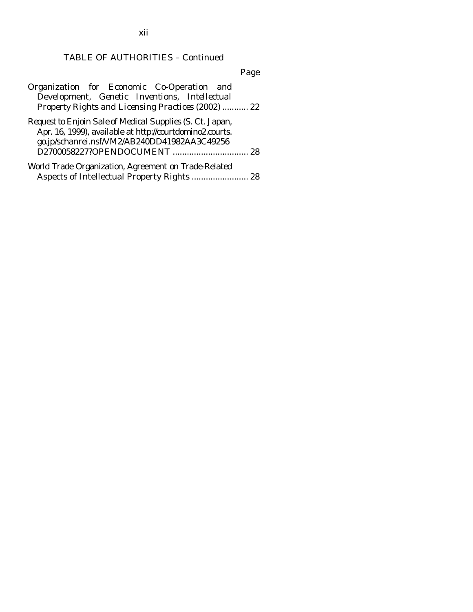Page

| Organization for Economic Co-Operation and                |  |
|-----------------------------------------------------------|--|
| Development, Genetic Inventions, Intellectual             |  |
| Property Rights and Licensing Practices (2002)  22        |  |
| Request to Enjoin Sale of Medical Supplies (S. Ct. Japan, |  |
| Apr. 16, 1999), available at http://courtdomino2.courts.  |  |
| go.jp/schanrei.nsf/VM2/AB240DD41982AA3C49256              |  |
|                                                           |  |
| World Trade Organization, Agreement on Trade-Related      |  |
| Aspects of Intellectual Property Rights  28               |  |

xii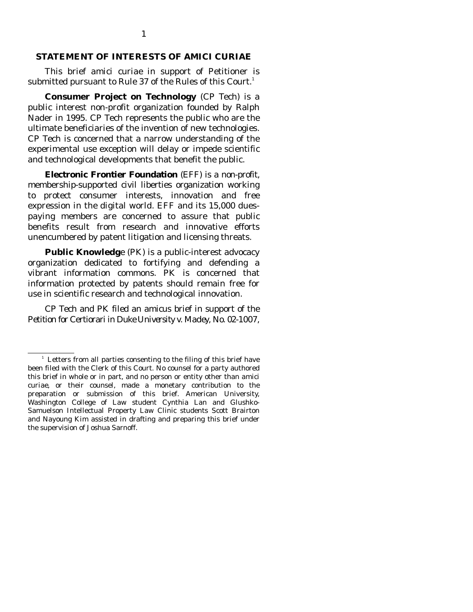#### **STATEMENT OF INTERESTS OF** *AMICI CURIAE*

 This brief *amici curiae* in support of Petitioner is submitted pursuant to Rule 37 of the Rules of this Court. $^1$ 

 **Consumer Project on Technology** (CP Tech) is a public interest non-profit organization founded by Ralph Nader in 1995. CP Tech represents the public who are the ultimate beneficiaries of the invention of new technologies. CP Tech is concerned that a narrow understanding of the experimental use exception will delay or impede scientific and technological developments that benefit the public.

 **Electronic Frontier Foundation** (EFF) is a non-profit, membership-supported civil liberties organization working to protect consumer interests, innovation and free expression in the digital world. EFF and its 15,000 duespaying members are concerned to assure that public benefits result from research and innovative efforts unencumbered by patent litigation and licensing threats.

 **Public Knowledg**e (PK) is a public-interest advocacy organization dedicated to fortifying and defending a vibrant information commons. PK is concerned that information protected by patents should remain free for use in scientific research and technological innovation.

 CP Tech and PK filed an amicus brief in support of the Petition for Certiorari in *Duke University v. Madey*, No. 02-1007,

<sup>&</sup>lt;sup>1</sup> Letters from all parties consenting to the filing of this brief have been filed with the Clerk of this Court. No counsel for a party authored this brief in whole or in part, and no person or entity other than *amici curiae*, or their counsel, made a monetary contribution to the preparation or submission of this brief. American University, Washington College of Law student Cynthia Lan and Glushko-Samuelson Intellectual Property Law Clinic students Scott Brairton and Nayoung Kim assisted in drafting and preparing this brief under the supervision of Joshua Sarnoff.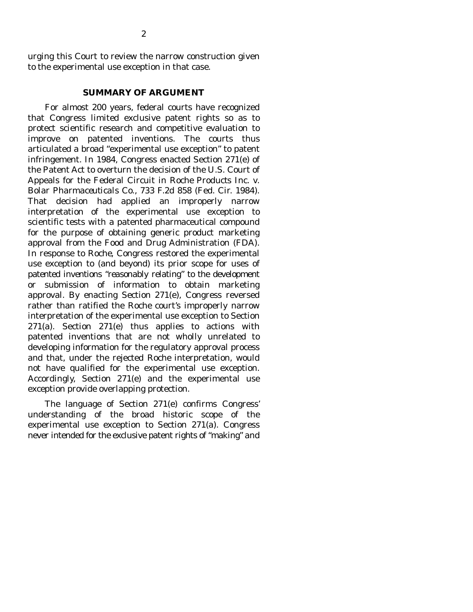urging this Court to review the narrow construction given to the experimental use exception in that case.

#### **SUMMARY OF ARGUMENT**

 For almost 200 years, federal courts have recognized that Congress limited exclusive patent rights so as to protect scientific research and competitive evaluation to improve on patented inventions. The courts thus articulated a broad "experimental use exception" to patent infringement. In 1984, Congress enacted Section 271(e) of the Patent Act to overturn the decision of the U.S. Court of Appeals for the Federal Circuit in *Roche Products Inc. v. Bolar Pharmaceuticals Co.*, 733 F.2d 858 (Fed. Cir. 1984). That decision had applied an improperly narrow interpretation of the experimental use exception to scientific tests with a patented pharmaceutical compound for the purpose of obtaining generic product marketing approval from the Food and Drug Administration (FDA). In response to *Roche*, Congress restored the experimental use exception to (and beyond) its prior scope for uses of patented inventions "reasonably relating" to the development or submission of information to obtain marketing approval. By enacting Section 271(e), Congress reversed rather than ratified the *Roche* court's improperly narrow interpretation of the experimental use exception to Section  $271(a)$ . Section  $271(e)$  thus applies to actions with patented inventions that are not wholly unrelated to developing information for the regulatory approval process and that, under the rejected *Roche* interpretation, would not have qualified for the experimental use exception. Accordingly, Section 271(e) and the experimental use exception provide overlapping protection.

 The language of Section 271(e) confirms Congress' understanding of the broad historic scope of the experimental use exception to Section 271(a). Congress never intended for the exclusive patent rights of "making" and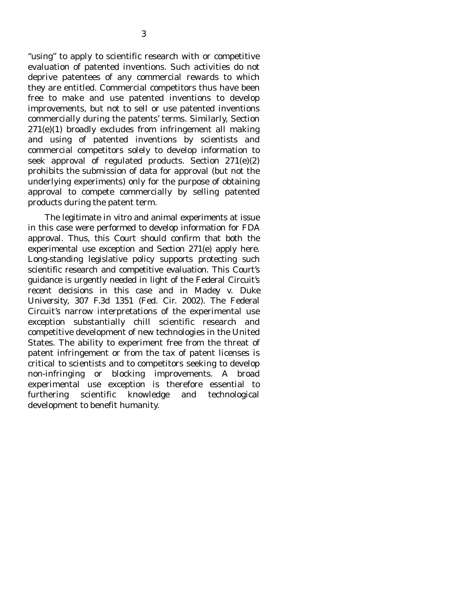"using" to apply to scientific research with or competitive evaluation of patented inventions. Such activities do not deprive patentees of any commercial rewards to which they are entitled. Commercial competitors thus have been free to make and use patented inventions to develop improvements, but not to sell or use patented inventions commercially during the patents' terms. Similarly, Section 271(e)(1) broadly excludes from infringement all making and using of patented inventions by scientists and commercial competitors solely to develop information to seek approval of regulated products. Section 271(e)(2) prohibits the submission of data for approval (but not the underlying experiments) only for the purpose of obtaining approval to compete commercially by selling patented products during the patent term.

 The legitimate *in vitro* and animal experiments at issue in this case were performed to develop information for FDA approval. Thus, this Court should confirm that both the experimental use exception and Section 271(e) apply here. Long-standing legislative policy supports protecting such scientific research and competitive evaluation. This Court's guidance is urgently needed in light of the Federal Circuit's recent decisions in this case and in *Madey v. Duke University*, 307 F.3d 1351 (Fed. Cir. 2002). The Federal Circuit's narrow interpretations of the experimental use exception substantially chill scientific research and competitive development of new technologies in the United States. The ability to experiment free from the threat of patent infringement or from the tax of patent licenses is critical to scientists and to competitors seeking to develop non-infringing or blocking improvements. A broad experimental use exception is therefore essential to furthering scientific knowledge and technological development to benefit humanity.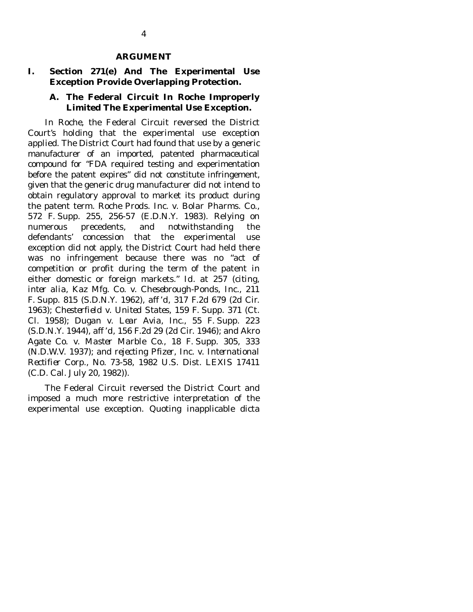#### **ARGUMENT**

### **I. Section 271(e) And The Experimental Use Exception Provide Overlapping Protection.**

### **A. The Federal Circuit In** *Roche* **Improperly Limited The Experimental Use Exception***.*

 In *Roche*, the Federal Circuit reversed the District Court's holding that the experimental use exception applied. The District Court had found that use by a generic manufacturer of an imported, patented pharmaceutical compound for "FDA required testing and experimentation before the patent expires" did not constitute infringement, given that the generic drug manufacturer did not intend to obtain regulatory approval to market its product during the patent term. *Roche Prods. Inc. v. Bolar Pharms. Co.*, 572 F. Supp. 255, 256-57 (E.D.N.Y. 1983). Relying on numerous precedents, and notwithstanding the defendants' concession that the experimental use exception did not apply, the District Court had held there was no infringement because there was no "act of competition or profit during the term of the patent in either domestic or foreign markets." *Id.* at 257 (*citing*, *inter alia*, *Kaz Mfg. Co. v. Chesebrough-Ponds*, *Inc.*, 211 F. Supp. 815 (S.D.N.Y. 1962), *aff 'd*, 317 F.2d 679 (2d Cir. 1963); *Chesterfield v. United States*, 159 F. Supp. 371 (Ct. Cl. 1958); *Dugan v. Lear Avia*, *Inc.*, 55 F. Supp. 223 (S.D.N.Y. 1944), *aff 'd*, 156 F.2d 29 (2d Cir. 1946); and *Akro Agate Co. v. Master Marble Co.*, 18 F. Supp. 305, 333 (N.D.W.V. 1937); and *rejecting Pfizer*, *Inc. v. International Rectifier Corp.*, No. 73-58, 1982 U.S. Dist. LEXIS 17411 (C.D. Cal. July 20, 1982)).

 The Federal Circuit reversed the District Court and imposed a much more restrictive interpretation of the experimental use exception. Quoting inapplicable dicta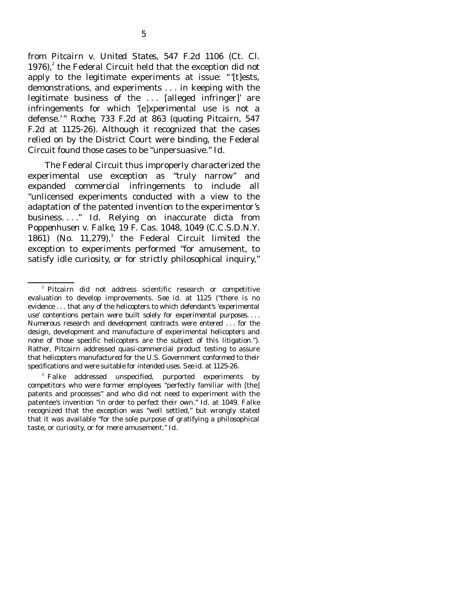from *Pitcairn v. United States*, 547 F.2d 1106 (Ct. Cl. 1976), $^2$  the Federal Circuit held that the exception did not apply to the legitimate experiments at issue: " '[t]ests, demonstrations, and experiments . . . in keeping with the legitimate business of the . . . [alleged infringer]' are infringements for which '[e]xperimental use is not a defense.' " *Roche*, 733 F.2d at 863 (*quoting Pitcairn*, 547 F.2d at 1125-26). Although it recognized that the cases relied on by the District Court were binding, the Federal Circuit found those cases to be "unpersuasive." *Id.* 

 The Federal Circuit thus improperly characterized the experimental use exception as "truly narrow" and expanded commercial infringements to include all "unlicensed experiments conducted with a view to the adaptation of the patented invention to the experimentor's business. . . ." *Id.* Relying on inaccurate dicta from *Poppenhusen v. Falke*, 19 F. Cas. 1048, 1049 (C.C.S.D.N.Y. 1861) (No.  $11,279$ ),<sup>3</sup> the Federal Circuit limited the exception to experiments performed "for amusement, to satisfy idle curiosity, or for strictly philosophical inquiry,"

<sup>2</sup> *Pitcairn* did not address scientific research or competitive evaluation to develop improvements. *See id.* at 1125 ("there is no evidence . . . that any of the helicopters to which defendant's 'experimental use' contentions pertain were built solely for experimental purposes. . . . Numerous research and development contracts were entered . . . for the design, development and manufacture of experimental helicopters and none of those specific helicopters are the subject of this litigation."). Rather, *Pitcairn* addressed quasi-commercial product testing to assure that helicopters manufactured for the U.S. Government conformed to their specifications and were suitable for intended uses. *See id.* at 1125-26.

<sup>&</sup>lt;sup>3</sup> Falke addressed unspecified, purported experiments by competitors who were former employees "perfectly familiar with [the] patents and processes" and who did not need to experiment with the patentee's invention "in order to perfect their own." *Id.* at 1049. *Falke*  recognized that the exception was "well settled," but wrongly stated that it was available "for the sole purpose of gratifying a philosophical taste, or curiosity, or for mere amusement." *Id*.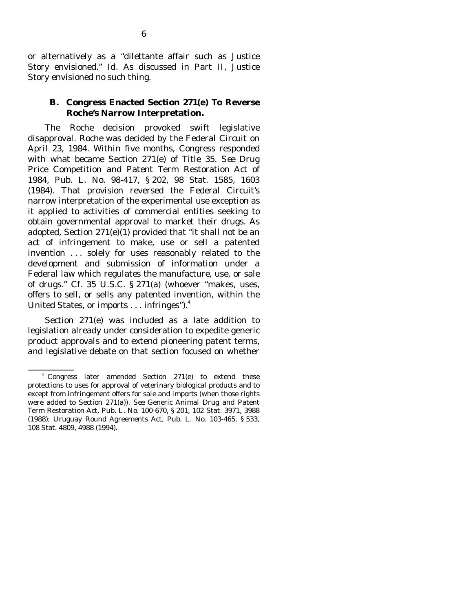or alternatively as a "dilettante affair such as Justice Story envisioned." *Id.* As discussed in Part II, Justice Story envisioned no such thing.

#### **B. Congress Enacted Section 271(e) To Reverse**  *Roche***'s Narrow Interpretation.**

 The *Roche* decision provoked swift legislative disapproval. *Roche* was decided by the Federal Circuit on April 23, 1984. Within five months, Congress responded with what became Section 271(e) of Title 35. *See* Drug Price Competition and Patent Term Restoration Act of 1984, Pub. L. No. 98-417, § 202, 98 Stat. 1585, 1603 (1984). That provision reversed the Federal Circuit's narrow interpretation of the experimental use exception as it applied to activities of commercial entities seeking to obtain governmental approval to market their drugs. As adopted, Section 271(e)(1) provided that "it shall not be an act of infringement to make, use or sell a patented invention . . . solely for uses reasonably related to the development and submission of information under a Federal law which regulates the manufacture, use, or sale of drugs." *Cf.* 35 U.S.C. § 271(a) (whoever "makes, uses, offers to sell, or sells any patented invention, within the United States, or imports . . . infringes").<sup>4</sup>

 Section 271(e) was included as a late addition to legislation already under consideration to expedite generic product approvals and to extend pioneering patent terms, and legislative debate on that section focused on whether

<sup>4</sup> Congress later amended Section 271(e) to extend these protections to uses for approval of veterinary biological products and to except from infringement offers for sale and imports (when those rights were added to Section 271(a)). *See* Generic Animal Drug and Patent Term Restoration Act, Pub. L. No. 100-670, § 201, 102 Stat. 3971, 3988 (1988); Uruguay Round Agreements Act, Pub. L. No. 103-465, § 533, 108 Stat. 4809, 4988 (1994).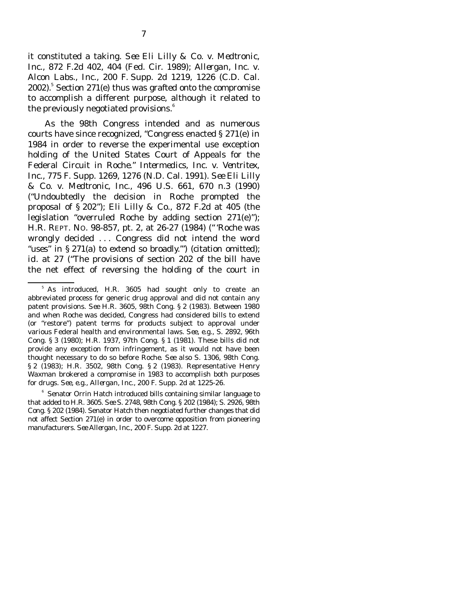it constituted a taking. *See Eli Lilly & Co. v. Medtronic*, *Inc.*, 872 F.2d 402, 404 (Fed. Cir. 1989); *Allergan*, *Inc. v. Alcon Labs.*, *Inc.*, 200 F. Supp. 2d 1219, 1226 (C.D. Cal.  $2002$ ).<sup>5</sup> Section 271(e) thus was grafted onto the compromise to accomplish a different purpose, although it related to the previously negotiated provisions.<sup>6</sup>

 As the 98th Congress intended and as numerous courts have since recognized, "Congress enacted § 271(e) in 1984 in order to reverse the experimental use exception holding of the United States Court of Appeals for the Federal Circuit in *Roche.*" *Intermedics*, *Inc. v. Ventritex*, *Inc.*, 775 F. Supp. 1269, 1276 (N.D. Cal. 1991). *See Eli Lilly & Co. v. Medtronic*, *Inc.*, 496 U.S. 661, 670 n.3 (1990) ("Undoubtedly the decision in *Roche* prompted the *proposal* of § 202"); *Eli Lilly & Co.*, 872 F.2d at 405 (the legislation "overruled *Roche* by adding section 271(e)"); H.R. REPT. NO. 98-857, pt. 2, at 26-27 (1984) (" '*Roche* was wrongly decided . . . Congress did not intend the word "uses" in § 271(a) to extend so broadly."" (citation omitted); *id.* at 27 ("The provisions of section 202 of the bill have the net effect of reversing the holding of the court in

<sup>&</sup>lt;sup>5</sup> As introduced, H.R. 3605 had sought only to create an abbreviated process for generic drug approval and did not contain any patent provisions. *See* H.R. 3605, 98th Cong. § 2 (1983). Between 1980 and when *Roche* was decided, Congress had considered bills to extend (or "restore") patent terms for products subject to approval under various Federal health and environmental laws. *See*, *e.g.*, S. 2892, 96th Cong. § 3 (1980); H.R. 1937, 97th Cong. § 1 (1981). These bills did not provide any exception from infringement, as it would not have been thought necessary to do so before *Roche. See also* S. 1306, 98th Cong. § 2 (1983); H.R. 3502, 98th Cong. § 2 (1983). Representative Henry Waxman brokered a compromise in 1983 to accomplish both purposes for drugs. *See*, *e.g.*, *Allergan*, *Inc.*, 200 F. Supp. 2d at 1225-26.

<sup>&</sup>lt;sup>6</sup> Senator Orrin Hatch introduced bills containing similar language to that added to H.R. 3605. *See* S. 2748, 98th Cong. § 202 (1984); S. 2926, 98th Cong. § 202 (1984). Senator Hatch then negotiated further changes that did not affect Section 271(e) in order to overcome opposition from pioneering manufacturers. *See Allergan*, *Inc.*, 200 F. Supp. 2d at 1227.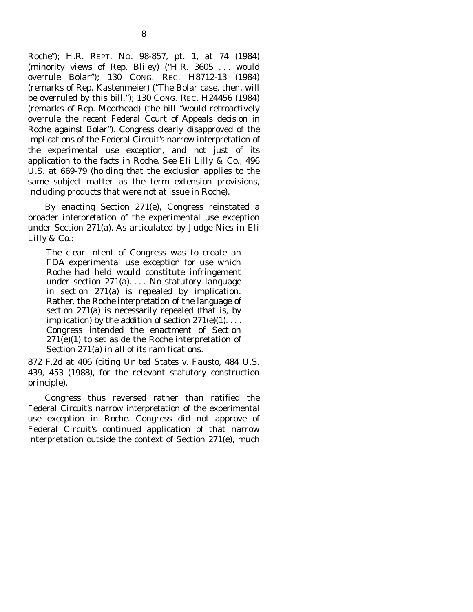*Roche*"); H.R. REPT. NO. 98-857, pt. 1, at 74 (1984) (minority views of Rep. Bliley) ("H.R. 3605 . . . would overrule *Bolar*"); 130 CONG. REC. H8712-13 (1984) (remarks of Rep. Kastenmeier) ("The Bolar case, then, will be overruled by this bill."); 130 CONG. REC. H24456 (1984) (remarks of Rep. Moorhead) (the bill "would retroactively overrule the recent Federal Court of Appeals decision in Roche against Bolar"). Congress clearly disapproved of the implications of the Federal Circuit's narrow interpretation of the experimental use exception, and not just of its application to the facts in *Roche. See Eli Lilly & Co.*, 496 U.S. at 669-79 (holding that the exclusion applies to the same subject matter as the term extension provisions, including products that were not at issue in *Roche*).

 By enacting Section 271(e), Congress reinstated a broader *interpretation* of the experimental use exception under Section 271(a). As articulated by Judge Nies in *Eli Lilly & Co.*:

The clear intent of Congress was to create an FDA experimental use exception for use which *Roche* had held would constitute infringement under section 271(a). . . . No statutory language in section 271(a) is repealed by implication. Rather, the *Roche interpretation* of the language of section 271(a) is necessarily repealed (that is, by implication) by the addition of section  $271(e)(1)$ ... Congress intended the enactment of Section 271(e)(1) to set aside the *Roche* interpretation of Section 271(a) in all of its ramifications.

872 F.2d at 406 (*citing United States v. Fausto*, 484 U.S. 439, 453 (1988), for the relevant statutory construction principle).

 Congress thus reversed rather than ratified the Federal Circuit's narrow interpretation of the experimental use exception in *Roche*. Congress did not approve of Federal Circuit's continued application of that narrow interpretation outside the context of Section 271(e), much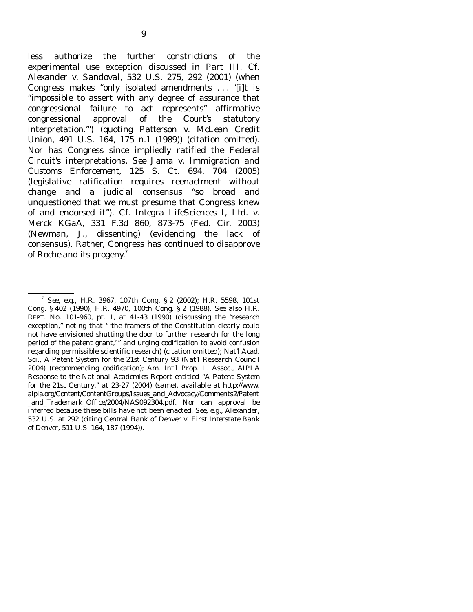less authorize the further constrictions of the experimental use exception discussed in Part III. *Cf. Alexander v. Sandoval*, 532 U.S. 275, 292 (2001) (when Congress makes "only isolated amendments . . . '[i]t is "impossible to assert with any degree of assurance that congressional failure to act represents" affirmative congressional approval of the Court's statutory interpretation.'") (*quoting Patterson v. McLean Credit Union*, 491 U.S. 164, 175 n.1 (1989)) (citation omitted). Nor has Congress since impliedly ratified the Federal Circuit's interpretations. *See Jama v. Immigration and Customs Enforcement*, 125 S. Ct. 694, 704 (2005) (legislative ratification requires reenactment without change and a judicial consensus "so broad and unquestioned that we must presume that Congress knew of and endorsed it"). *Cf. Integra LifeSciences I*, *Ltd. v. Merck KGaA*, 331 F.3d 860, 873-75 (Fed. Cir. 2003) (Newman, J., dissenting) (evidencing the lack of consensus). Rather, Congress has continued to disapprove of *Roche* and its progeny.<sup>7</sup>

<sup>7</sup> *See*, *e.g.*, H.R. 3967, 107th Cong. § 2 (2002); H.R. 5598, 101st Cong. § 402 (1990); H.R. 4970, 100th Cong. § 2 (1988). *See also* H.R. REPT. NO. 101-960, pt. 1, at 41-43 (1990) (discussing the "research exception," noting that " 'the framers of the Constitution clearly could not have envisioned shutting the door to further research for the long period of the patent grant,'" and urging codification to avoid confusion regarding permissible scientific research) (citation omitted); Nat'l Acad. Sci., *A Patent System for the 21st Century* 93 (Nat'l Research Council 2004) (recommending codification); Am. Int'l Prop. L. Assoc., *AIPLA Response to the National Academies Report entitled "A Patent System for the 21st Century*," at 23-27 (2004) (same), available at http://www. aipla.org/Content/ContentGroups/Issues\_and\_Advocacy/Comments2/Patent \_and\_Trademark\_Office/2004/NAS092304.pdf. Nor can approval be inferred because these bills have not been enacted. *See*, *e.g.*, *Alexander*, 532 U.S. at 292 (*citing Central Bank of Denver v. First Interstate Bank of Denver*, 511 U.S. 164, 187 (1994)).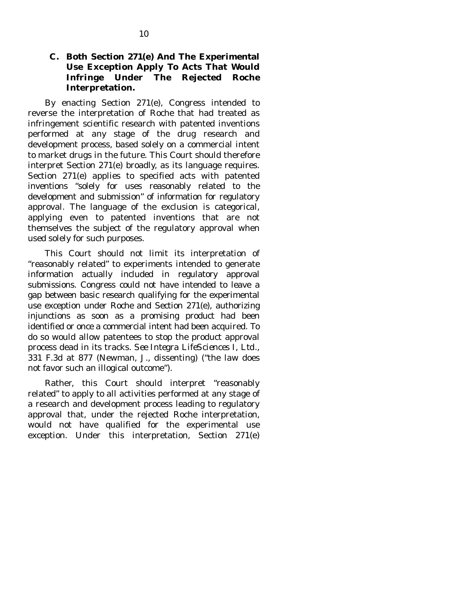### **C. Both Section 271(e) And The Experimental Use Exception Apply To Acts That Would Infringe Under The Rejected** *Roche* **Interpretation.**

 By enacting Section 271(e), Congress intended to reverse the interpretation of *Roche* that had treated as infringement scientific research with patented inventions performed at *any* stage of the drug research and development process, based solely on a commercial intent to market drugs in the future. This Court should therefore interpret Section 271(e) broadly, as its language requires. Section 271(e) applies to specified acts with patented inventions "solely for uses reasonably related to the development and submission" of information for regulatory approval. The language of the exclusion is categorical, applying even to patented inventions that are not themselves the subject of the regulatory approval when used solely for such purposes.

 This Court should not limit its interpretation of "reasonably related" to experiments intended to generate information actually included in regulatory approval submissions. Congress could not have intended to leave a gap between basic research qualifying for the experimental use exception under *Roche* and Section 271(e), authorizing injunctions as soon as a promising product had been identified or once a commercial intent had been acquired. To do so would allow patentees to stop the product approval process dead in its tracks. *See Integra LifeSciences I*, *Ltd.*, 331 F.3d at 877 (Newman, J., dissenting) ("the law does not favor such an illogical outcome").

 Rather, this Court should interpret "reasonably related" to apply to all activities performed at any stage of a research and development process leading to regulatory approval that, under the rejected *Roche* interpretation, would not have qualified for the experimental use exception. Under this interpretation, Section 271(e)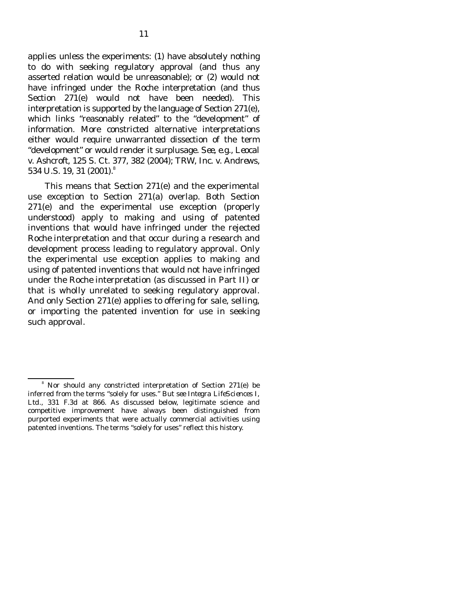applies unless the experiments: (1) have absolutely nothing to do with seeking regulatory approval (and thus any asserted relation would be unreasonable); or (2) would not have infringed under the *Roche* interpretation (and thus Section 271(e) would not have been needed). This interpretation is supported by the language of Section 271(e), which links "reasonably related" to the "development" of information. More constricted alternative interpretations either would require unwarranted dissection of the term "development" or would render it surplusage. *See*, *e.g.*, *Leocal v. Ashcroft*, 125 S. Ct. 377, 382 (2004); *TRW*, *Inc. v. Andrews*, 534 U.S. 19, 31 (2001).<sup>8</sup>

 This means that Section 271(e) and the experimental use exception to Section 271(a) overlap. Both Section 271(e) and the experimental use exception (properly understood) apply to making and using of patented inventions that would have infringed under the rejected *Roche* interpretation and that occur during a research and development process leading to regulatory approval*.* Only the experimental use exception applies to making and using of patented inventions that would not have infringed under the *Roche* interpretation (as discussed in Part II) or that is wholly unrelated to seeking regulatory approval. And only Section 271(e) applies to offering for sale, selling, or importing the patented invention for use in seeking such approval.

<sup>&</sup>lt;sup>8</sup> Nor should any constricted interpretation of Section 271(e) be inferred from the terms "solely for uses." *But see Integra LifeSciences I*, *Ltd.*, 331 F.3d at 866. As discussed below, legitimate science and competitive improvement have always been distinguished from purported experiments that were actually commercial activities using patented inventions. The terms "solely for uses" reflect this history.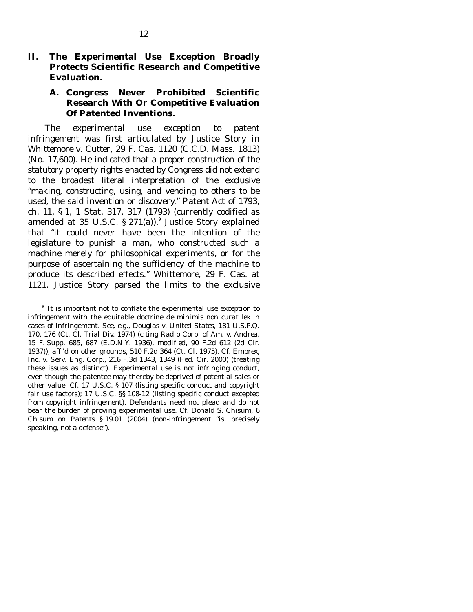### **II. The Experimental Use Exception Broadly Protects Scientific Research and Competitive Evaluation.**

### **A. Congress Never Prohibited Scientific Research With Or Competitive Evaluation Of Patented Inventions.**

 The experimental use exception to patent infringement was first articulated by Justice Story in *Whittemore v. Cutter*, 29 F. Cas. 1120 (C.C.D. Mass. 1813) (No. 17,600). He indicated that a proper construction of the statutory property rights enacted by Congress did not extend to the broadest literal interpretation of the exclusive "making, constructing, using, and vending to others to be used, the said invention or discovery." Patent Act of 1793, ch. 11, § 1, 1 Stat. 317, 317 (1793) (currently codified as amended at 35 U.S.C.  $\S 271(a)$ . Justice Story explained that "it could never have been the intention of the legislature to punish a man, who constructed such a machine merely for philosophical experiments, or for the purpose of ascertaining the sufficiency of the machine to produce its described effects." *Whittemore*, 29 F. Cas. at 1121. Justice Story parsed the limits to the exclusive

<sup>&</sup>lt;sup>9</sup> It is important not to conflate the experimental use exception to infringement with the equitable doctrine *de minimis non curat lex* in cases of infringement*. See*, *e.g.*, *Douglas v. United States*, 181 U.S.P.Q. 170, 176 (Ct. Cl. Trial Div. 1974) (*citing Radio Corp. of Am. v. Andrea*, 15 F. Supp. 685, 687 (E.D.N.Y. 1936), *modified*, 90 F.2d 612 (2d Cir. 1937)), *aff 'd on other grounds*, 510 F.2d 364 (Ct. Cl. 1975). *Cf. Embrex*, *Inc. v. Serv. Eng. Corp.*, 216 F.3d 1343, 1349 (Fed. Cir. 2000) (treating these issues as distinct). Experimental use is not infringing conduct, even though the patentee may thereby be deprived of potential sales or other value. *Cf.* 17 U.S.C. § 107 (listing specific conduct and copyright fair use factors); 17 U.S.C. §§ 108-12 (listing specific conduct excepted from copyright infringement). Defendants need not plead and do not bear the burden of proving experimental use. *Cf.* Donald S. Chisum, 6 *Chisum on Patents* § 19.01 (2004) (non-infringement "is, precisely speaking, not a defense").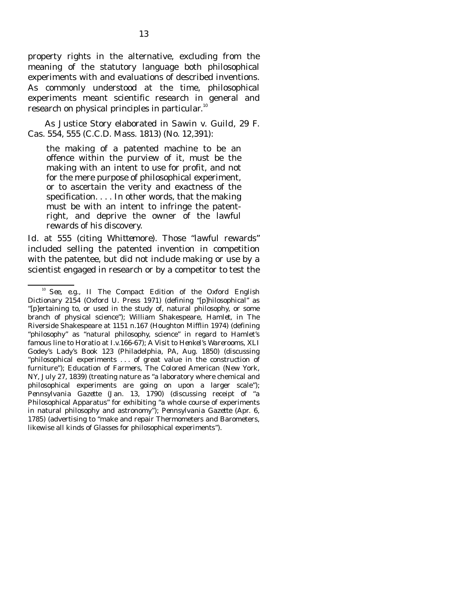property rights in the alternative, excluding from the meaning of the statutory language both philosophical experiments with and evaluations of described inventions. As commonly understood at the time, philosophical experiments meant scientific research in general and research on physical principles in particular. $10$ 

 As Justice Story elaborated in *Sawin v. Guild*, 29 F. Cas. 554, 555 (C.C.D. Mass. 1813) (No. 12,391):

the making of a patented machine to be an offence within the purview of it, must be the making with an intent to use for profit, and not for the mere purpose of philosophical experiment, or to ascertain the verity and exactness of the specification. . . . In other words, that the making must be with an intent to infringe the patentright, and deprive the owner of the lawful rewards of his discovery.

*Id.* at 555 (citing *Whittemore*). Those "lawful rewards" included selling the patented invention in competition with the patentee, but did not include making or use by a scientist engaged in research or by a competitor to test the

<sup>10</sup> *See*, *e.g.*, II *The Compact Edition of the Oxford English Dictionary* 2154 (Oxford U. Press 1971) (defining "[p]hilosophical" as "[p]ertaining to, or used in the study of, natural philosophy, or some branch of physical science"); William Shakespeare, *Hamlet*, in The Riverside Shakespeare at 1151 n.167 (Houghton Mifflin 1974) (defining "philosophy" as "natural philosophy, science" in regard to Hamlet's famous line to Horatio at I.v.166-67); *A Visit to Henkel's Warerooms*, XLI Godey's Lady's Book 123 (Philadelphia, PA, Aug. 1850) (discussing "philosophical experiments . . . of great value in the construction of furniture"); *Education of Farmers*, The Colored American (New York, NY, July 27, 1839) (treating nature as "a laboratory where chemical and philosophical experiments are going on upon a larger scale"); *Pennsylvania Gazette* (Jan. 13, 1790) (discussing receipt of "a Philosophical Apparatus" for exhibiting "a whole course of experiments in natural philosophy and astronomy"); *Pennsylvania Gazette* (Apr. 6, 1785) (advertising to "make and repair Thermometers and Barometers, likewise all kinds of Glasses for philosophical experiments").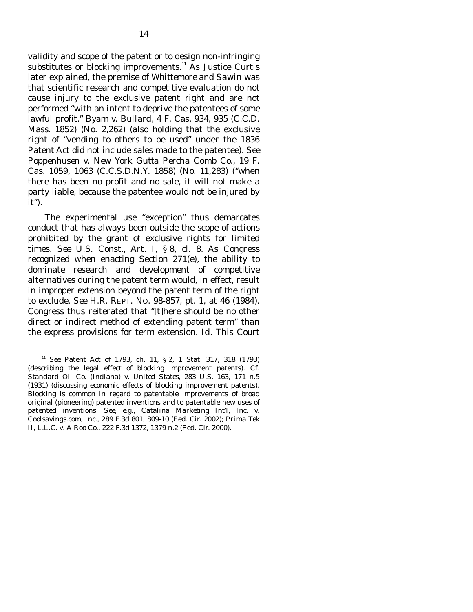validity and scope of the patent or to design non-infringing substitutes or blocking improvements. $11$  As Justice Curtis later explained, the premise of *Whittemore* and *Sawin* was that scientific research and competitive evaluation do not cause injury to the exclusive patent right and are not performed "with an intent to deprive the patentees of some lawful profit." *Byam v. Bullard*, 4 F. Cas. 934, 935 (C.C.D. Mass. 1852) (No. 2,262) (also holding that the exclusive right of "vending to others to be used" under the 1836 Patent Act did not include sales made to the patentee). *See Poppenhusen v. New York Gutta Percha Comb Co.*, 19 F. Cas. 1059, 1063 (C.C.S.D.N.Y. 1858) (No. 11,283) ("when there has been no profit and no sale, it will not make a party liable, because the patentee would not be injured by it").

 The experimental use "exception" thus demarcates conduct that has always been outside the scope of actions prohibited by the grant of exclusive rights for limited times. *See* U.S. Const., Art. I, § 8, cl. 8. As Congress recognized when enacting Section 271(e), the ability to dominate research and development of competitive alternatives during the patent term would, in effect, result in improper extension beyond the patent term of the right to exclude. *See* H.R. REPT. NO. 98-857, pt. 1, at 46 (1984). Congress thus reiterated that "[t]here should be no other direct or indirect method of extending patent term" than the express provisions for term extension. *Id.* This Court

<sup>11</sup> *See* Patent Act of 1793, ch. 11, § 2, 1 Stat. 317, 318 (1793) (describing the legal effect of blocking improvement patents). *Cf. Standard Oil Co. (Indiana) v. United States*, 283 U.S. 163, 171 n.5 (1931) (discussing economic effects of blocking improvement patents). Blocking is common in regard to patentable improvements of broad original (pioneering) patented inventions and to patentable new uses of patented inventions. *See*, *e.g.*, *Catalina Marketing Int'l*, *Inc. v. Coolsavings.com*, *Inc.*, 289 F.3d 801, 809-10 (Fed. Cir. 2002); *Prima Tek II*, *L.L.C. v. A-Roo Co.*, 222 F.3d 1372, 1379 n.2 (Fed. Cir. 2000).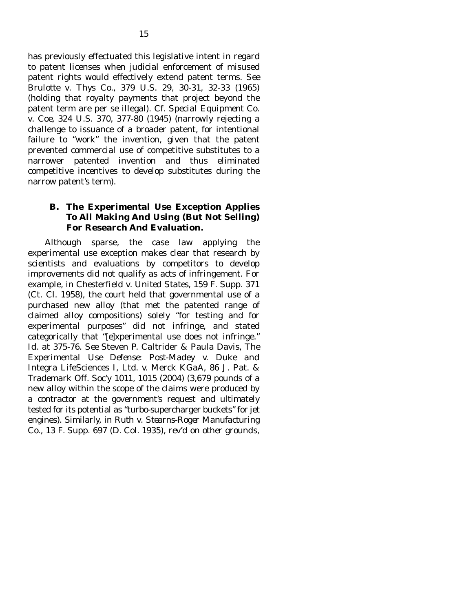has previously effectuated this legislative intent in regard to patent licenses when judicial enforcement of misused patent rights would effectively extend patent terms. *See Brulotte v. Thys Co.*, 379 U.S. 29, 30-31, 32-33 (1965) (holding that royalty payments that project beyond the patent term are per se illegal). *Cf. Special Equipment Co. v. Coe*, 324 U.S. 370, 377-80 (1945) (narrowly rejecting a challenge to issuance of a broader patent, for intentional failure to "work" the invention, given that the patent prevented commercial use of competitive substitutes to a narrower patented invention and thus eliminated competitive incentives to develop substitutes during the

narrow patent's term).

### **B. The Experimental Use Exception Applies To All Making And Using (But Not Selling) For Research And Evaluation.**

 Although sparse, the case law applying the experimental use exception makes clear that research by scientists and evaluations by competitors to develop improvements did not qualify as acts of infringement. For example, in *Chesterfield v. United States*, 159 F. Supp. 371 (Ct. Cl. 1958), the court held that governmental use of a purchased new alloy (that met the patented range of claimed alloy compositions) solely "for testing and for experimental purposes" did not infringe, and stated categorically that "[e]xperimental use does not infringe." *Id.* at 375-76. *See* Steven P. Caltrider & Paula Davis, *The Experimental Use Defense: Post-*Madey v. Duke *and* Integra LifeSciences I, Ltd. v. Merck KGaA, 86 J. Pat. & Trademark Off. Soc'y 1011, 1015 (2004) (3,679 pounds of a new alloy within the scope of the claims were produced by a contractor at the government's request and ultimately tested for its potential as "turbo-supercharger buckets" for jet engines). Similarly, in *Ruth v. Stearns-Roger Manufacturing Co.*, 13 F. Supp. 697 (D. Col. 1935), *rev'd on other grounds*,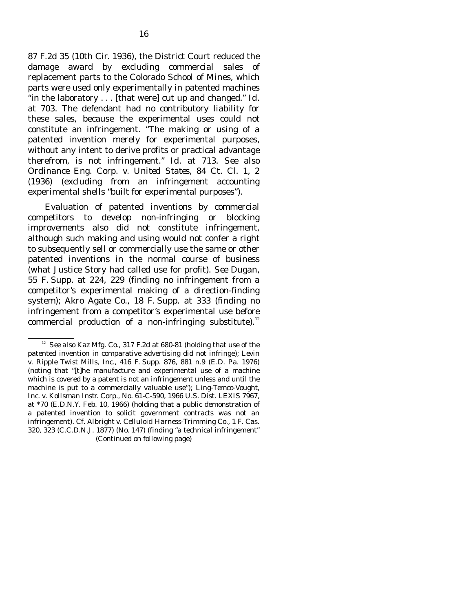87 F.2d 35 (10th Cir. 1936), the District Court reduced the damage award by excluding commercial sales of replacement parts to the Colorado School of Mines, which parts were used only experimentally in patented machines "in the laboratory . . . [that were] cut up and changed." *Id.* at 703. The defendant had no contributory liability for these sales, because the experimental uses could not constitute an infringement. "The making or using of a patented invention merely for experimental purposes, without any intent to derive profits or practical advantage therefrom, is not infringement." *Id.* at 713. *See also Ordinance Eng. Corp. v. United States*, 84 Ct. Cl. 1, 2 (1936) (excluding from an infringement accounting experimental shells "built for experimental purposes").

 Evaluation of patented inventions by commercial competitors to develop non-infringing or blocking improvements also did not constitute infringement, although such making and using would not confer a right to subsequently sell or commercially use the same or other patented inventions in the normal course of business (what Justice Story had called use for profit). *See Dugan*, 55 F. Supp. at 224, 229 (finding no infringement from a competitor's experimental making of a direction-finding system); *Akro Agate Co.*, 18 F. Supp. at 333 (finding no infringement from a competitor's experimental use before commercial production of a non-infringing substitute).<sup>12</sup>

<sup>&</sup>lt;sup>12</sup> *See also Kaz Mfg. Co.*, 317 F.2d at 680-81 (holding that use of the patented invention in comparative advertising did not infringe); *Levin v. Ripple Twist Mills*, *Inc.*, 416 F. Supp. 876, 881 n.9 (E.D. Pa. 1976) (noting that "[t]he manufacture and experimental use of a machine which is covered by a patent is not an infringement unless and until the machine is put to a commercially valuable use"); *Ling-Temco-Vought*, *Inc. v. Kollsman Instr. Corp.*, No. 61-C-590, 1966 U.S. Dist. LEXIS 7967, at \*70 (E.D.N.Y. Feb. 10, 1966) (holding that a public demonstration of a patented invention to solicit government contracts was not an infringement). *Cf. Albright v. Celluloid Harness-Trimming Co.*, 1 F. Cas. 320, 323 (C.C.D.N.J. 1877) (No. 147) (finding "a technical infringement" (Continued on following page)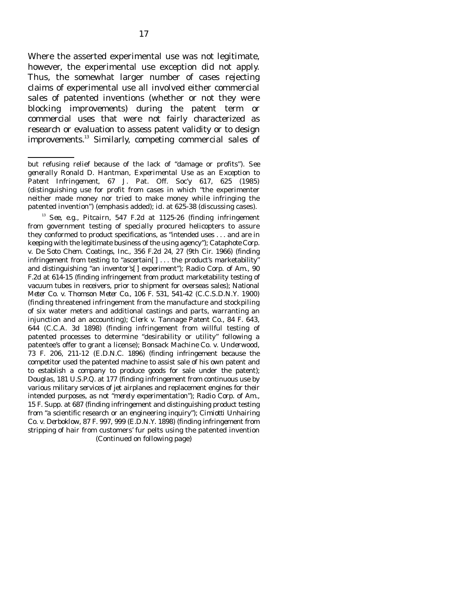Where the asserted experimental use was not legitimate, however, the experimental use exception did not apply. Thus, the somewhat larger number of cases rejecting claims of experimental use all involved either commercial sales of patented inventions (whether or not they were blocking improvements) during the patent term or commercial uses that were not fairly characterized as research or evaluation to assess patent validity or to design improvements.13 Similarly, competing commercial sales of

 <sup>13</sup> *See*, *e.g.*, *Pitcairn*, 547 F.2d at 1125-26 (finding infringement from government testing of specially procured helicopters to assure they conformed to product specifications, as "intended uses . . . and are in keeping with the legitimate business of the using agency"); *Cataphote Corp. v. De Soto Chem. Coatings*, *Inc.*, 356 F.2d 24, 27 (9th Cir. 1966) (finding infringement from testing to "ascertain[] ... the product's marketability" and distinguishing "an inventor's[ ] experiment"); *Radio Corp. of Am.*, 90 F.2d at 614-15 (finding infringement from product marketability testing of vacuum tubes in receivers, prior to shipment for overseas sales); *National Meter Co. v. Thomson Meter Co.*, 106 F. 531, 541-42 (C.C.S.D.N.Y. 1900) (finding threatened infringement from the manufacture and stockpiling of six water meters and additional castings and parts, warranting an injunction and an accounting); *Clerk v. Tannage Patent Co.*, 84 F. 643, 644 (C.C.A. 3d 1898) (finding infringement from willful testing of patented processes to determine "desirability or utility" following a patentee's offer to grant a license); *Bonsack Machine Co. v. Underwood*, 73 F. 206, 211-12 (E.D.N.C. 1896) (finding infringement because the competitor used the patented machine to assist sale of his own patent and to establish a company to produce goods for sale under the patent); *Douglas*, 181 U.S.P.Q. at 177 (finding infringement from continuous use by various military services of jet airplanes and replacement engines for their intended purposes, as not "*merely* experimentation"); *Radio Corp. of Am.*, 15 F. Supp. at 687 (finding infringement and distinguishing product testing from "a scientific research or an engineering inquiry"); *Cimiotti Unhairing Co. v. Derboklow*, 87 F. 997, 999 (E.D.N.Y. 1898) (finding infringement from stripping of hair from customers' fur pelts using the patented invention (Continued on following page)

but refusing relief because of the lack of "damage or profits"). *See generally* Ronald D. Hantman, *Experimental Use as an Exception to Patent Infringement*, 67 J. Pat. Off. Soc'y 617, 625 (1985) (distinguishing use for profit from cases in which "the experimenter neither made money nor tried to make money *while* infringing the patented invention") (emphasis added); *id*. at 625-38 (discussing cases).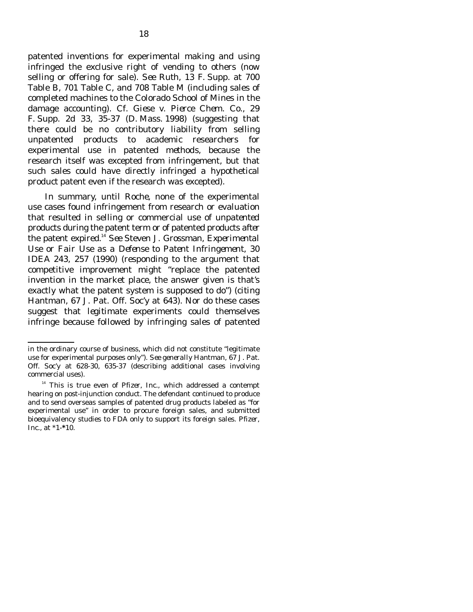patented inventions for experimental making and using infringed the exclusive right of vending to others (now selling or offering for sale). *See Ruth*, 13 F. Supp. at 700 Table B, 701 Table C, and 708 Table M (including sales of completed machines to the Colorado School of Mines in the damage accounting). *Cf. Giese v. Pierce Chem. Co.*, 29 F. Supp. 2d 33, 35-37 (D. Mass. 1998) (suggesting that there could be no contributory liability from selling unpatented *products* to academic researchers for experimental use in patented *methods*, because the research itself was excepted from infringement, but that such sales could have directly infringed a hypothetical *product* patent even if the research was excepted).

 In summary, until *Roche*, none of the experimental use cases found infringement from research or evaluation that resulted in selling or commercial use of *unpatented* products during the patent term or of patented products *after* the patent expired.14 *See* Steven J. Grossman, *Experimental Use or Fair Use as a Defense to Patent Infringement*, 30 IDEA 243, 257 (1990) (responding to the argument that competitive improvement might "replace the patented invention in the market place, the answer given is that's exactly what the patent system is supposed to do") (*citing* Hantman, 67 J. Pat. Off. Soc'y at 643). Nor do these cases suggest that *legitimate* experiments could themselves infringe because followed by infringing sales of patented

in the ordinary course of business, which did not constitute "legitimate use for experimental purposes only"). *See generally* Hantman, 67 J. Pat. Off. Soc'y at 628-30, 635-37 (describing additional cases involving commercial uses).

<sup>&</sup>lt;sup>14</sup> This is true even of *Pfizer*, *Inc.*, which addressed a contempt hearing on post-injunction conduct. The defendant continued to produce and to send overseas samples of patented drug products labeled as "for experimental use" in order to procure foreign sales, and submitted bioequivalency studies to FDA only to support its foreign sales. *Pfizer*, *Inc.*, at \*1-**\***10.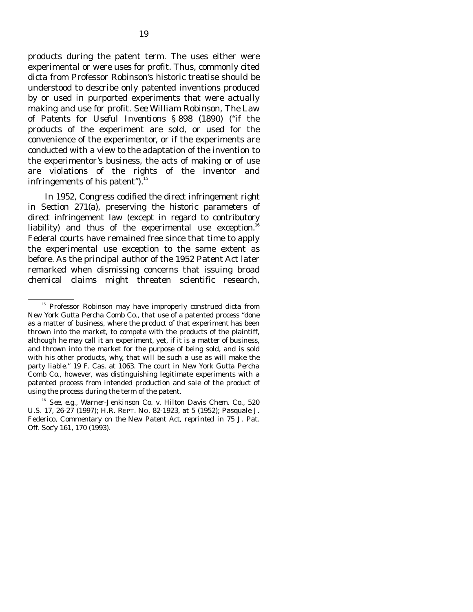products during the patent term. The uses either were experimental or were uses for profit. Thus, commonly cited dicta from Professor Robinson's historic treatise should be understood to describe only patented inventions produced by or used in purported experiments that were actually making and use for profit. *See* William Robinson, *The Law of Patents for Useful Inventions* § 898 (1890) ("if the products of the experiment are sold, or used for the convenience of the experimentor, or if the experiments are conducted with a view to the adaptation of the invention to the experimentor's business, the acts of making or of use are violations of the rights of the inventor and infringements of his patent"). $^{15}$ 

 In 1952, Congress codified the direct infringement right in Section 271(a), preserving the historic parameters of direct infringement law (except in regard to contributory liability) and thus of the experimental use exception.<sup>16</sup> Federal courts have remained free since that time to apply the experimental use exception to the same extent as before. As the principal author of the 1952 Patent Act later remarked when dismissing concerns that issuing broad chemical claims might threaten scientific research,

<sup>&</sup>lt;sup>15</sup> Professor Robinson may have improperly construed dicta from *New York Gutta Percha Comb Co.*, that use of a patented process "done as a matter of business, where the product of that experiment has been thrown into the market, to compete with the products of the plaintiff, although he may call it an experiment, yet, if it is a matter of business, and thrown into the market for the purpose of being sold, and is sold with his other products, why, that will be such a use as will make the party liable." 19 F. Cas. at 1063. The court in *New York Gutta Percha Comb Co.*, however, was distinguishing legitimate experiments with a patented process from intended production and sale of the product of using the process during the term of the patent.

<sup>16</sup> *See*, *e.g.*, *Warner-Jenkinson Co. v. Hilton Davis Chem. Co.*, 520 U.S. 17, 26-27 (1997); H.R. REPT. NO. 82-1923, at 5 (1952); Pasquale J. Federico, *Commentary on the New Patent Act*, *reprinted in* 75 J. Pat. Off. Soc'y 161, 170 (1993).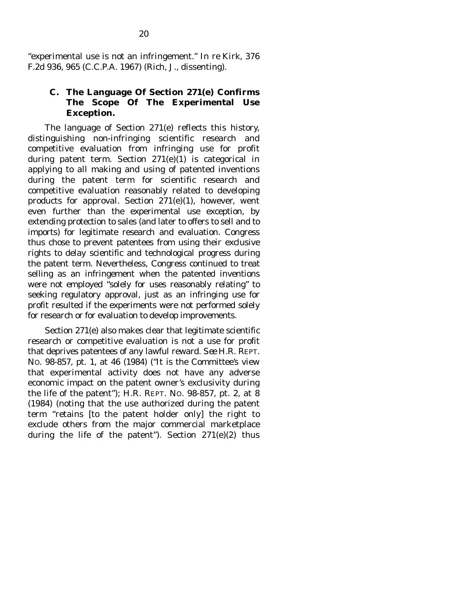"experimental use is not an infringement." *In re Kirk*, 376 F.2d 936, 965 (C.C.P.A. 1967) (Rich, J., dissenting).

#### **C. The Language Of Section 271(e) Confirms The Scope Of The Experimental Use Exception.**

 The language of Section 271(e) reflects this history, distinguishing non-infringing scientific research and competitive evaluation from infringing use for profit during patent term. Section 271(e)(1) is categorical in applying to all making and using of patented inventions during the patent term for scientific research and competitive evaluation reasonably related to developing products for approval. Section 271(e)(1), however, went even further than the experimental use exception, by extending protection to sales (and later to offers to sell and to imports) for legitimate research and evaluation. Congress thus chose to prevent patentees from using their exclusive rights to delay scientific and technological progress during the patent term. Nevertheless, Congress continued to treat selling as an infringement when the patented inventions were not employed "solely for uses reasonably relating" to seeking regulatory approval, just as an infringing use for profit resulted if the experiments were not performed solely for research or for evaluation to develop improvements.

 Section 271(e) also makes clear that legitimate scientific research or competitive evaluation is not a use for profit that deprives patentees of any lawful reward. *See* H.R. REPT. NO. 98-857, pt. 1, at 46 (1984) ("It is the Committee's view that experimental activity does not have any adverse economic impact on the patent owner's exclusivity during the life of the patent"); H.R. REPT. NO. 98-857, pt. 2, at 8 (1984) (noting that the use authorized during the patent term "retains [to the patent holder only] the right to exclude others from the major commercial marketplace during the life of the patent"). Section  $271(e)(2)$  thus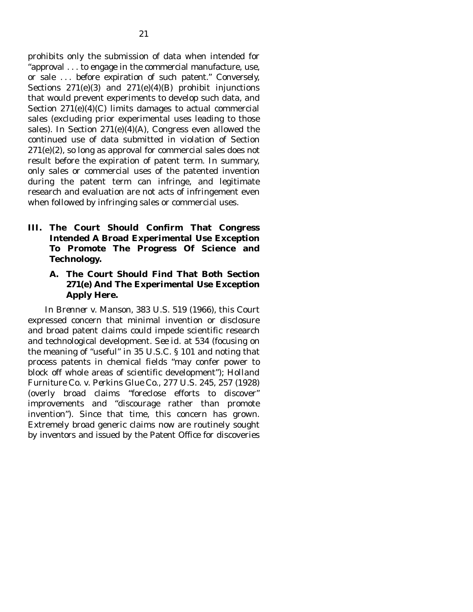prohibits only the submission of data when intended for "approval . . . to engage in the commercial manufacture, use, or sale . . . before expiration of such patent." Conversely, Sections 271(e)(3) and 271(e)(4)(B) prohibit injunctions that would prevent experiments to develop such data, and Section  $271(e)(4)(C)$  limits damages to actual commercial sales (excluding prior experimental uses leading to those sales). In Section  $271(e)(4)(A)$ , Congress even allowed the continued use of data submitted in violation of Section 271(e)(2), so long as approval for commercial sales does not result before the expiration of patent term. In summary, only sales or commercial uses of the patented invention during the patent term can infringe, and legitimate research and evaluation are not acts of infringement even when followed by infringing sales or commercial uses.

- **III. The Court Should Confirm That Congress Intended A Broad Experimental Use Exception To Promote The Progress Of Science and Technology.** 
	- **A. The Court Should Find That Both Section 271(e) And The Experimental Use Exception Apply Here.**

 In *Brenner v. Manson*, 383 U.S. 519 (1966), this Court expressed concern that minimal invention or disclosure and broad patent claims could impede scientific research and technological development. *See id.* at 534 (focusing on the meaning of "useful" in 35 U.S.C. § 101 and noting that process patents in chemical fields "may confer power to block off whole areas of scientific development"); *Holland Furniture Co. v. Perkins Glue Co.*, 277 U.S. 245, 257 (1928) (overly broad claims "foreclose efforts to discover" improvements and "discourage rather than promote invention"). Since that time, this concern has grown. Extremely broad generic claims now are routinely sought by inventors and issued by the Patent Office for discoveries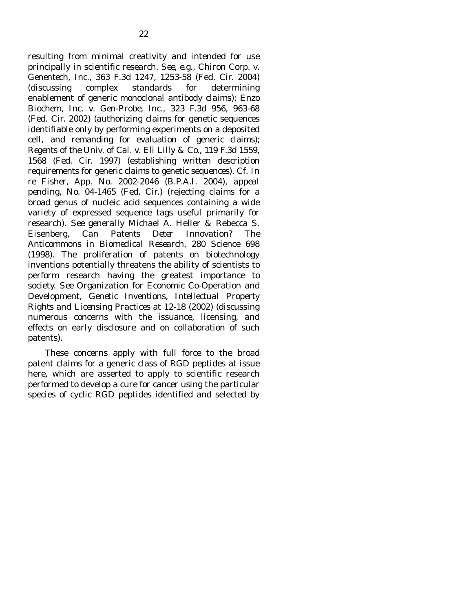resulting from minimal creativity and intended for use principally in scientific research. *See*, *e.g.*, *Chiron Corp. v. Genentech*, *Inc.*, 363 F.3d 1247, 1253-58 (Fed. Cir. 2004) (discussing complex standards for determining enablement of generic monoclonal antibody claims); *Enzo Biochem*, *Inc. v. Gen-Probe*, *Inc.*, 323 F.3d 956, 963-68 (Fed. Cir. 2002) (authorizing claims for genetic sequences identifiable only by performing experiments on a deposited cell, and remanding for evaluation of generic claims); *Regents of the Univ. of Cal. v. Eli Lilly & Co.*, 119 F.3d 1559, 1568 (Fed. Cir. 1997) (establishing written description requirements for generic claims to genetic sequences). *Cf. In re Fisher*, App. No. 2002-2046 (B.P.A.I. 2004), *appeal pending*, No. 04-1465 (Fed. Cir.) (rejecting claims for a broad genus of nucleic acid sequences containing a wide variety of expressed sequence tags useful primarily for research). *See generally* Michael A. Heller & Rebecca S. Eisenberg, *Can Patents Deter Innovation? The Anticommons in Biomedical Research*, 280 Science 698 (1998). The proliferation of patents on biotechnology inventions potentially threatens the ability of scientists to perform research having the greatest importance to society. *See* Organization for Economic Co-Operation and Development, *Genetic Inventions*, *Intellectual Property Rights and Licensing Practices* at 12-18 (2002) (discussing numerous concerns with the issuance, licensing, and effects on early disclosure and on collaboration of such patents).

 These concerns apply with full force to the broad patent claims for a generic class of RGD peptides at issue here, which are asserted to apply to scientific research performed to develop a cure for cancer using the particular species of cyclic RGD peptides identified and selected by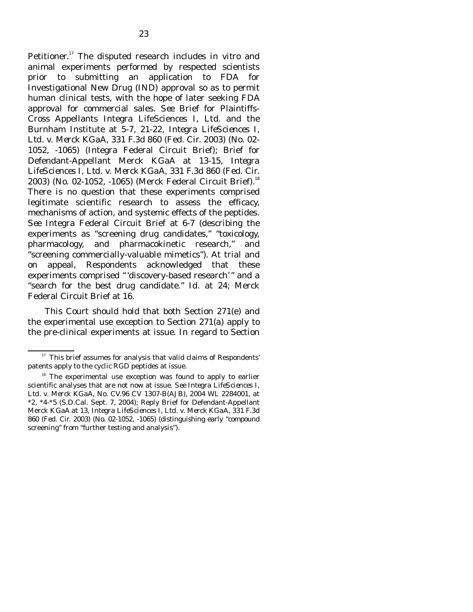Petitioner.17 The disputed research includes *in vitro* and animal experiments performed by respected scientists prior to submitting an application to FDA for Investigational New Drug (IND) approval so as to permit human clinical tests, with the hope of later seeking FDA approval for commercial sales. *See* Brief for Plaintiffs-Cross Appellants Integra LifeSciences I, Ltd. and the Burnham Institute at 5-7, 21-22, *Integra LifeSciences I*, *Ltd. v. Merck KGaA*, 331 F.3d 860 (Fed. Cir. 2003) (No. 02- 1052, -1065) (Integra Federal Circuit Brief); Brief for Defendant-Appellant Merck KGaA at 13-15, *Integra LifeSciences I*, *Ltd. v. Merck KGaA*, 331 F.3d 860 (Fed. Cir. 2003) (No. 02-1052, -1065) (Merck Federal Circuit Brief).<sup>18</sup> There is no question that these experiments comprised legitimate scientific research to assess the efficacy, mechanisms of action, and systemic effects of the peptides. *See* Integra Federal Circuit Brief at 6-7 (describing the experiments as "screening drug candidates," "toxicology, pharmacology, and pharmacokinetic research," and "screening commercially-valuable mimetics"). At trial and on appeal, Respondents acknowledged that these experiments comprised " 'discovery-based research' " and a "search for the best drug candidate." *Id.* at 24; Merck Federal Circuit Brief at 16.

 This Court should hold that both Section 271(e) and the experimental use exception to Section 271(a) apply to the pre-clinical experiments at issue. In regard to Section

 $17$  This brief assumes for analysis that valid claims of Respondents' patents apply to the cyclic RGD peptides at issue.

 $18$  The experimental use exception was found to apply to earlier scientific analyses that are not now at issue. *See Integra LifeSciences I*, *Ltd. v. Merck KGaA*, No. CV.96 CV 1307-B(AJB), 2004 WL 2284001, at \*2, \*4-\*5 (S.D.Cal. Sept. 7, 2004); Reply Brief for Defendant-Appellant Merck KGaA at 13, *Integra LifeSciences I*, *Ltd. v. Merck KGaA*, 331 F.3d 860 (Fed. Cir. 2003) (No. 02-1052, -1065) (distinguishing early "compound screening" from "further testing and analysis").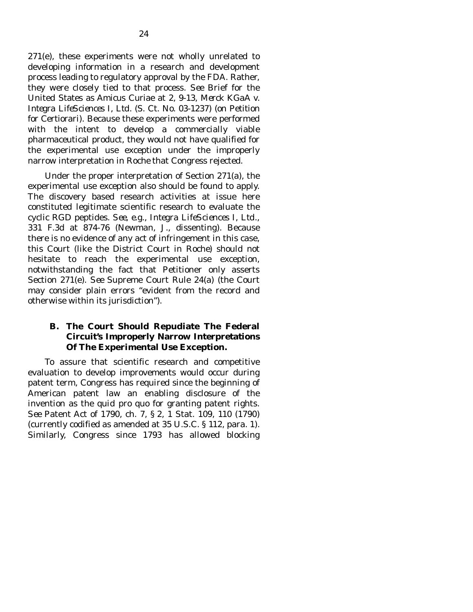271(e), these experiments were not wholly unrelated to developing information in a research and development process leading to regulatory approval by the FDA. Rather, they were closely tied to that process. *See* Brief for the United States as Amicus Curiae at 2, 9-13, *Merck KGaA v. Integra LifeSciences I*, *Ltd.* (S. Ct. No. 03-1237) (on Petition for Certiorari). Because these experiments were performed with the intent to develop a commercially viable pharmaceutical product, they would not have qualified for the experimental use exception under the improperly narrow interpretation in *Roche* that Congress rejected.

 Under the proper interpretation of Section 271(a), the experimental use exception also should be found to apply. The discovery based research activities at issue here constituted legitimate scientific research to evaluate the cyclic RGD peptides. *See*, *e.g.*, *Integra LifeSciences I*, *Ltd.*, 331 F.3d at 874-76 (Newman, J., dissenting). Because there is no evidence of any act of infringement in this case, this Court (like the District Court in *Roche*) should not hesitate to reach the experimental use exception, notwithstanding the fact that Petitioner only asserts Section 271(e). *See* Supreme Court Rule 24(a) (the Court may consider plain errors "evident from the record and otherwise within its jurisdiction").

### **B. The Court Should Repudiate The Federal Circuit's Improperly Narrow Interpretations Of The Experimental Use Exception.**

 To assure that scientific research and competitive evaluation to develop improvements would occur during patent term, Congress has required since the beginning of American patent law an enabling disclosure of the invention as the *quid pro quo* for granting patent rights. *See* Patent Act of 1790, ch. 7, § 2, 1 Stat. 109, 110 (1790) (currently codified as amended at 35 U.S.C. § 112, para. 1). Similarly, Congress since 1793 has allowed blocking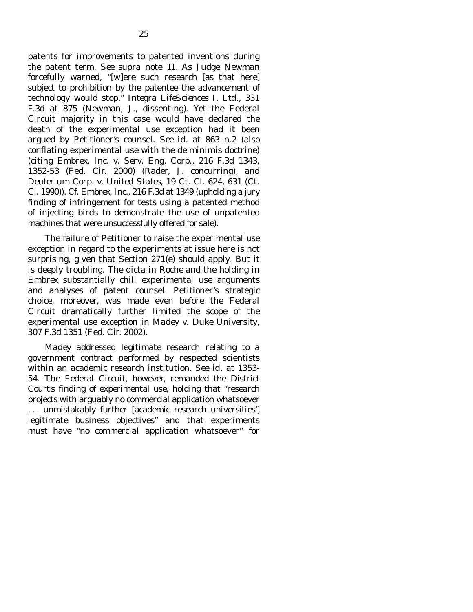patents for improvements to patented inventions during the patent term. *See supra* note 11. As Judge Newman forcefully warned, "[w]ere such research [as that here] subject to prohibition by the patentee the advancement of technology would stop." *Integra LifeSciences I*, *Ltd.*, 331 F.3d at 875 (Newman, J., dissenting). Yet the Federal Circuit majority in this case would have declared the death of the experimental use exception had it been argued by Petitioner's counsel. *See id.* at 863 n.2 (also conflating experimental use with the *de minimis* doctrine) (*citing Embrex*, *Inc. v. Serv. Eng. Corp.*, 216 F.3d 1343, 1352-53 (Fed. Cir. 2000) (Rader, J. concurring), and *Deuterium Corp. v. United States*, 19 Ct. Cl. 624, 631 (Ct. Cl. 1990)). *Cf. Embrex*, *Inc.*, 216 F.3d at 1349 (upholding a jury finding of infringement for tests using a patented method of injecting birds to demonstrate the use of unpatented machines that were unsuccessfully offered for sale).

 The failure of Petitioner to raise the experimental use exception in regard to the experiments at issue here is not surprising, given that Section 271(e) should apply. But it is deeply troubling. The dicta in *Roche* and the holding in *Embrex* substantially chill experimental use arguments and analyses of patent counsel. Petitioner's strategic choice, moreover, was made even before the Federal Circuit dramatically further limited the scope of the experimental use exception in *Madey v. Duke University*, 307 F.3d 1351 (Fed. Cir. 2002).

 *Madey* addressed legitimate research relating to a government contract performed by respected scientists within an academic research institution. *See id.* at 1353- 54. The Federal Circuit, however, remanded the District Court's finding of experimental use, holding that "research projects with arguably no commercial application whatsoever . . . unmistakably further [academic research universities'] legitimate business objectives" and that experiments must have "no commercial application whatsoever" for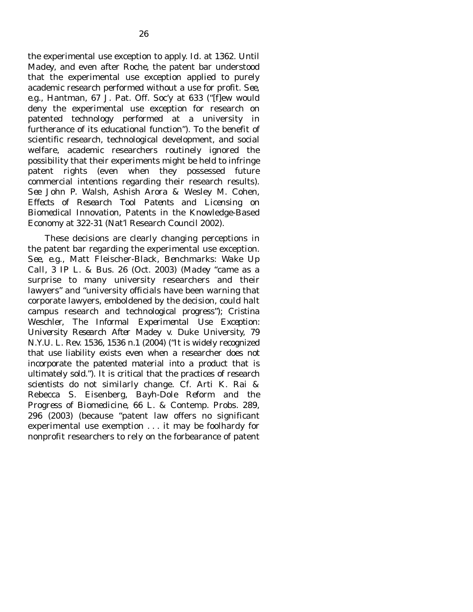the experimental use exception to apply. *Id.* at 1362. Until *Madey*, and even after *Roche*, the patent bar understood that the experimental use exception applied to purely academic research performed without a use for profit. *See*, *e.g.*, Hantman, 67 J. Pat. Off. Soc'y at 633 ("[f]ew would deny the experimental use exception for research on patented technology performed at a university in furtherance of its educational function"). To the benefit of scientific research, technological development, and social welfare, academic researchers routinely ignored the possibility that their experiments might be held to infringe patent rights (even when they possessed future commercial intentions regarding their research results). *See* John P. Walsh, Ashish Arora & Wesley M. Cohen, *Effects of Research Tool Patents and Licensing on Biomedical Innovation*, Patents in the Knowledge-Based Economy at 322-31 (Nat'l Research Council 2002).

 These decisions are clearly changing perceptions in the patent bar regarding the experimental use exception*. See*, *e.g.*, Matt Fleischer-Black, *Benchmarks: Wake Up Call*, 3 IP L. & Bus. 26 (Oct. 2003) (*Madey* "came as a surprise to many university researchers and their lawyers" and "university officials have been warning that corporate lawyers, emboldened by the decision, could halt campus research and technological progress"); Cristina Weschler, *The Informal Experimental Use Exception: University Research After* Madey v. Duke University, 79 N.Y.U. L. Rev. 1536, 1536 n.1 (2004) ("It is widely recognized that use liability exists even when a researcher does not incorporate the patented material into a product that is ultimately sold."). It is critical that the practices of research scientists do not similarly change. *Cf.* Arti K. Rai & Rebecca S. Eisenberg, *Bayh-Dole Reform and the Progress of Biomedicine*, 66 L. & Contemp. Probs. 289, 296 (2003) (because "patent law offers no significant experimental use exemption . . . it may be foolhardy for nonprofit researchers to rely on the forbearance of patent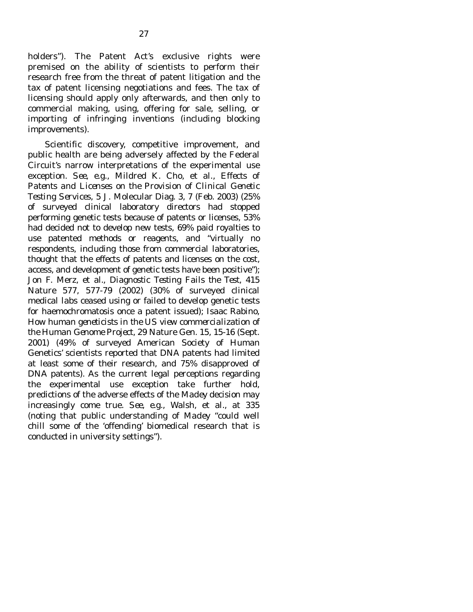holders"). The Patent Act's exclusive rights were premised on the ability of scientists to perform their research free from the threat of patent litigation and the tax of patent licensing negotiations and fees. The tax of licensing should apply only afterwards, and then only to commercial making, using, offering for sale, selling, or importing of infringing inventions (including blocking improvements).

 Scientific discovery, competitive improvement, and public health are being adversely affected by the Federal Circuit's narrow interpretations of the experimental use exception. *See*, *e.g.*, Mildred K. Cho, et al., *Effects of Patents and Licenses on the Provision of Clinical Genetic Testing Services*, 5 J. Molecular Diag. 3, 7 (Feb. 2003) (25% of surveyed clinical laboratory directors had stopped performing genetic tests because of patents or licenses, 53% had decided not to develop new tests, 69% paid royalties to use patented methods or reagents, and "virtually no respondents, including those from commercial laboratories, thought that the effects of patents and licenses on the cost, access, and development of genetic tests have been positive"); Jon F. Merz, et al., *Diagnostic Testing Fails the Test*, 415 Nature 577, 577-79 (2002) (30% of surveyed clinical medical labs ceased using or failed to develop genetic tests for haemochromatosis once a patent issued); Isaac Rabino, *How human geneticists in the US view commercialization of the Human Genome Project*, 29 Nature Gen. 15, 15-16 (Sept. 2001) (49% of surveyed American Society of Human Genetics' scientists reported that DNA patents had limited at least some of their research, and 75% disapproved of DNA patents). As the current legal perceptions regarding the experimental use exception take further hold, predictions of the adverse effects of the *Madey* decision may increasingly come true. *See*, *e.g.*, Walsh, et al., at 335 (noting that public understanding of *Madey* "could well chill some of the 'offending' biomedical research that is conducted in university settings").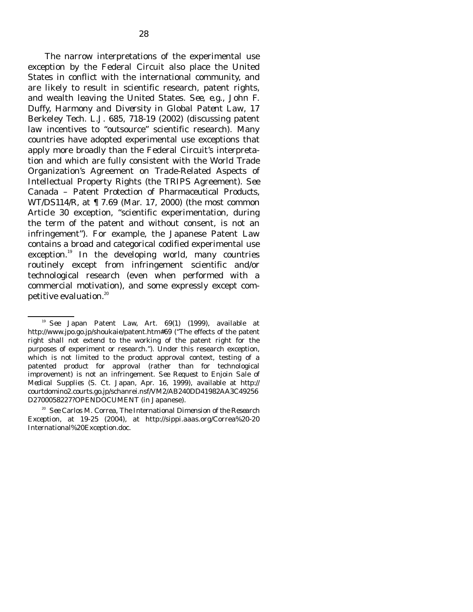The narrow interpretations of the experimental use exception by the Federal Circuit also place the United States in conflict with the international community, and are likely to result in scientific research, patent rights, and wealth leaving the United States. *See*, *e.g.*, John F. Duffy, *Harmony and Diversity in Global Patent Law*, 17 Berkeley Tech. L.J. 685, 718-19 (2002) (discussing patent law incentives to "outsource" scientific research). Many countries have adopted experimental use exceptions that apply more broadly than the Federal Circuit's interpretation and which are fully consistent with the World Trade Organization's Agreement on Trade-Related Aspects of Intellectual Property Rights (the TRIPS Agreement). *See*  Canada – Patent Protection of Pharmaceutical Products, WT/DS114/R, at ¶ 7.69 (Mar. 17, 2000) (the most common Article 30 exception, "scientific experimentation, during the term of the patent and without consent, is not an infringement"). For example, the Japanese Patent Law contains a broad and categorical codified experimental use exception.<sup>19</sup> In the developing world, many countries routinely except from infringement scientific and/or technological research (even when performed with a commercial motivation), and some expressly except competitive evaluation.<sup>20</sup>

<sup>19</sup> *See* Japan Patent Law, Art. 69(1) (1999), available at http://www.jpo.go.jp/shoukaie/patent.htm#69 ("The effects of the patent right shall not extend to the working of the patent right for the purposes of experiment or research."). Under this research exception, which is not limited to the product approval context, testing of a patented product for approval (rather than for technological improvement) is not an infringement. *See Request to Enjoin Sale of Medical Supplies* (S. Ct. Japan, Apr. 16, 1999), available at http:// courtdomino2.courts.go.jp/schanrei.nsf/VM2/AB240DD41982AA3C49256 D2700058227?OPENDOCUMENT (in Japanese).

<sup>20</sup> *See* Carlos M. Correa, *The International Dimension of the Research Exception*, at 19-25 (2004), at http://sippi.aaas.org/Correa%20-20 International%20Exception.doc.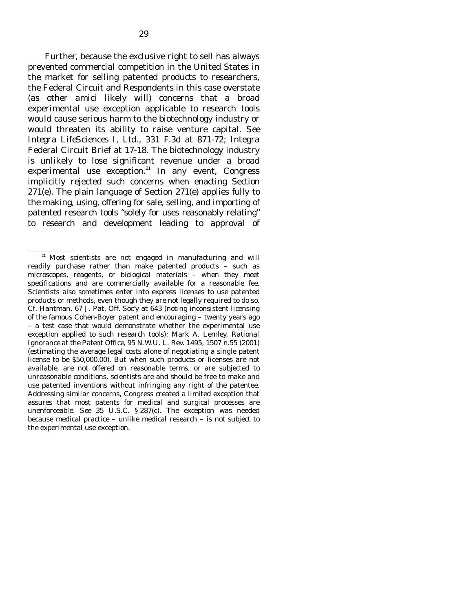Further, because the exclusive right to sell has always prevented commercial competition in the United States in the market for selling patented products *to* researchers, the Federal Circuit and Respondents in this case overstate (as other *amici* likely will) concerns that a broad experimental use exception applicable to research tools would cause serious harm to the biotechnology industry or would threaten its ability to raise venture capital. *See Integra LifeSciences I*, *Ltd.*, 331 F.3d at 871-72; Integra Federal Circuit Brief at 17-18. The biotechnology industry is unlikely to lose significant revenue under a broad experimental use exception.<sup>21</sup> In any event, Congress implicitly rejected such concerns when enacting Section 271(e). The plain language of Section 271(e) applies fully to the making, using, offering for sale, selling, and importing of patented research tools "solely for uses reasonably relating" to research and development leading to approval of

<sup>&</sup>lt;sup>21</sup> Most scientists are not engaged in manufacturing and will readily purchase rather than make patented products – such as microscopes, reagents, or biological materials – when they meet specifications and are commercially available for a reasonable fee. Scientists also sometimes enter into express licenses to use patented products or methods, even though they are not legally required to do so. *Cf.* Hantman, 67 J. Pat. Off. Soc'y at 643 (noting inconsistent licensing of the famous Cohen-Boyer patent and encouraging – twenty years ago – a test case that would demonstrate whether the experimental use exception applied to such research tools); Mark A. Lemley, *Rational Ignorance at the Patent Office*, 95 N.W.U. L. Rev. 1495, 1507 n.55 (2001) (estimating the average legal costs alone of negotiating a single patent license to be \$50,000.00). But when such products or licenses are not available, are not offered on reasonable terms, or are subjected to unreasonable conditions, scientists are and should be free to make and use patented inventions without infringing any right of the patentee. Addressing similar concerns, Congress created a limited exception that assures that most patents for medical and surgical processes are unenforceable. *See* 35 U.S.C. § 287(c). The exception was needed because medical practice – unlike medical research – is not subject to the experimental use exception.